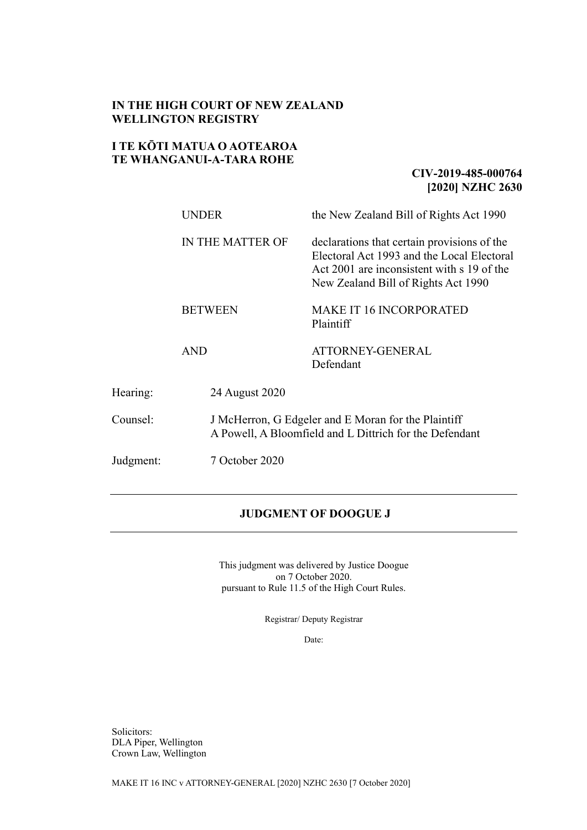### **IN THE HIGH COURT OF NEW ZEALAND WELLINGTON REGISTRY**

## **I TE KŌTI MATUA O AOTEAROA TE WHANGANUI-A-TARA ROHE**

## **CIV-2019-485-000764 [2020] NZHC 2630**

|           | UNDER            | the New Zealand Bill of Rights Act 1990                                                                                                                                        |  |
|-----------|------------------|--------------------------------------------------------------------------------------------------------------------------------------------------------------------------------|--|
|           | IN THE MATTER OF | declarations that certain provisions of the<br>Electoral Act 1993 and the Local Electoral<br>Act 2001 are inconsistent with s 19 of the<br>New Zealand Bill of Rights Act 1990 |  |
|           | <b>BETWEEN</b>   | <b>MAKE IT 16 INCORPORATED</b><br>Plaintiff                                                                                                                                    |  |
|           | <b>AND</b>       | ATTORNEY-GENERAL<br>Defendant                                                                                                                                                  |  |
| Hearing:  | 24 August 2020   |                                                                                                                                                                                |  |
| Counsel:  |                  | J McHerron, G Edgeler and E Moran for the Plaintiff<br>A Powell, A Bloomfield and L Dittrich for the Defendant                                                                 |  |
| Judgment: | 7 October 2020   |                                                                                                                                                                                |  |

# **JUDGMENT OF DOOGUE J**

This judgment was delivered by Justice Doogue on 7 October 2020. pursuant to Rule 11.5 of the High Court Rules.

Registrar/ Deputy Registrar

Date:

Solicitors: DLA Piper, Wellington Crown Law, Wellington

MAKE IT 16 INC v ATTORNEY-GENERAL [2020] NZHC 2630 [7 October 2020]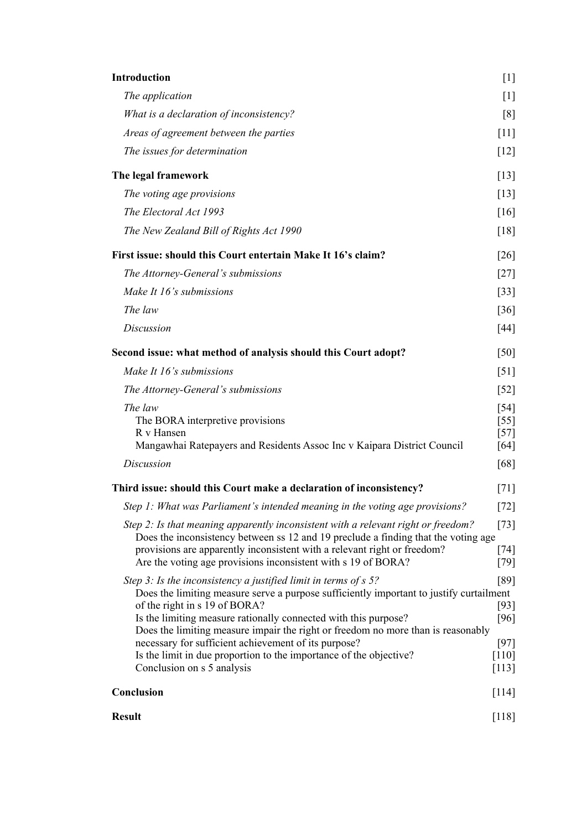| Introduction                                                                                                                                                                                                                                                                                                                                                                                                                                                                                                     | $[1]$                                                  |
|------------------------------------------------------------------------------------------------------------------------------------------------------------------------------------------------------------------------------------------------------------------------------------------------------------------------------------------------------------------------------------------------------------------------------------------------------------------------------------------------------------------|--------------------------------------------------------|
| The application                                                                                                                                                                                                                                                                                                                                                                                                                                                                                                  | $[1]$                                                  |
| What is a declaration of inconsistency?                                                                                                                                                                                                                                                                                                                                                                                                                                                                          | [8]                                                    |
| Areas of agreement between the parties                                                                                                                                                                                                                                                                                                                                                                                                                                                                           | $[11]$                                                 |
| The issues for determination                                                                                                                                                                                                                                                                                                                                                                                                                                                                                     | $[12]$                                                 |
| The legal framework                                                                                                                                                                                                                                                                                                                                                                                                                                                                                              | $[13]$                                                 |
| The voting age provisions                                                                                                                                                                                                                                                                                                                                                                                                                                                                                        | $\lceil 13 \rceil$                                     |
| The Electoral Act 1993                                                                                                                                                                                                                                                                                                                                                                                                                                                                                           | $[16]$                                                 |
| The New Zealand Bill of Rights Act 1990                                                                                                                                                                                                                                                                                                                                                                                                                                                                          | $[18]$                                                 |
| First issue: should this Court entertain Make It 16's claim?                                                                                                                                                                                                                                                                                                                                                                                                                                                     | $[26]$                                                 |
| The Attorney-General's submissions                                                                                                                                                                                                                                                                                                                                                                                                                                                                               | $[27]$                                                 |
| Make It 16's submissions                                                                                                                                                                                                                                                                                                                                                                                                                                                                                         | $[33]$                                                 |
| The law                                                                                                                                                                                                                                                                                                                                                                                                                                                                                                          | $[36]$                                                 |
| Discussion                                                                                                                                                                                                                                                                                                                                                                                                                                                                                                       | $[44]$                                                 |
| Second issue: what method of analysis should this Court adopt?                                                                                                                                                                                                                                                                                                                                                                                                                                                   | [50]                                                   |
| Make It 16's submissions                                                                                                                                                                                                                                                                                                                                                                                                                                                                                         | [51]                                                   |
| The Attorney-General's submissions                                                                                                                                                                                                                                                                                                                                                                                                                                                                               | $[52]$                                                 |
| The law<br>The BORA interpretive provisions<br>R v Hansen<br>Mangawhai Ratepayers and Residents Assoc Inc v Kaipara District Council                                                                                                                                                                                                                                                                                                                                                                             | $[54]$<br>[55]<br>$[57]$<br>[64]                       |
| <b>Discussion</b>                                                                                                                                                                                                                                                                                                                                                                                                                                                                                                | [68]                                                   |
| Third issue: should this Court make a declaration of inconsistency?                                                                                                                                                                                                                                                                                                                                                                                                                                              | $[71]$                                                 |
| Step 1: What was Parliament's intended meaning in the voting age provisions?                                                                                                                                                                                                                                                                                                                                                                                                                                     | $[72]$                                                 |
| Step 2: Is that meaning apparently inconsistent with a relevant right or freedom?<br>Does the inconsistency between ss 12 and 19 preclude a finding that the voting age<br>provisions are apparently inconsistent with a relevant right or freedom?<br>Are the voting age provisions inconsistent with s 19 of BORA?                                                                                                                                                                                             | $[73]$<br>$[74]$<br>$[79]$                             |
| Step 3: Is the inconsistency a justified limit in terms of $s$ 5?<br>Does the limiting measure serve a purpose sufficiently important to justify curtailment<br>of the right in s 19 of BORA?<br>Is the limiting measure rationally connected with this purpose?<br>Does the limiting measure impair the right or freedom no more than is reasonably<br>necessary for sufficient achievement of its purpose?<br>Is the limit in due proportion to the importance of the objective?<br>Conclusion on s 5 analysis | [89]<br>$[93]$<br>$[96]$<br>[97]<br>$[110]$<br>$[113]$ |
| Conclusion                                                                                                                                                                                                                                                                                                                                                                                                                                                                                                       | $[114]$                                                |
| <b>Result</b>                                                                                                                                                                                                                                                                                                                                                                                                                                                                                                    | $[118]$                                                |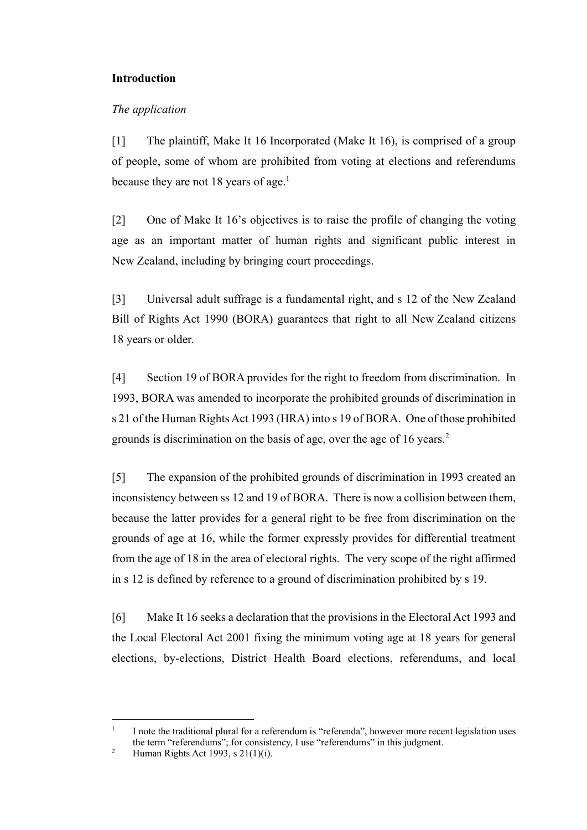## **Introduction**

## *The application*

[1] The plaintiff, Make It 16 Incorporated (Make It 16), is comprised of a group of people, some of whom are prohibited from voting at elections and referendums because they are not 18 years of age.<sup>1</sup>

[2] One of Make It 16's objectives is to raise the profile of changing the voting age as an important matter of human rights and significant public interest in New Zealand, including by bringing court proceedings.

[3] Universal adult suffrage is a fundamental right, and s 12 of the New Zealand Bill of Rights Act 1990 (BORA) guarantees that right to all New Zealand citizens 18 years or older.

[4] Section 19 of BORA provides for the right to freedom from discrimination. In 1993, BORA was amended to incorporate the prohibited grounds of discrimination in s 21 of the Human Rights Act 1993 (HRA) into s 19 of BORA. One of those prohibited grounds is discrimination on the basis of age, over the age of 16 years.<sup>2</sup>

[5] The expansion of the prohibited grounds of discrimination in 1993 created an inconsistency between ss 12 and 19 of BORA. There is now a collision between them, because the latter provides for a general right to be free from discrimination on the grounds of age at 16, while the former expressly provides for differential treatment from the age of 18 in the area of electoral rights. The very scope of the right affirmed in s 12 is defined by reference to a ground of discrimination prohibited by s 19.

[6] Make It 16 seeks a declaration that the provisions in the Electoral Act 1993 and the Local Electoral Act 2001 fixing the minimum voting age at 18 years for general elections, by-elections, District Health Board elections, referendums, and local

<sup>1</sup> I note the traditional plural for a referendum is "referenda", however more recent legislation uses the term "referendums"; for consistency, I use "referendums" in this judgment.

<sup>&</sup>lt;sup>2</sup> Human Rights Act 1993, s  $21(1)(i)$ .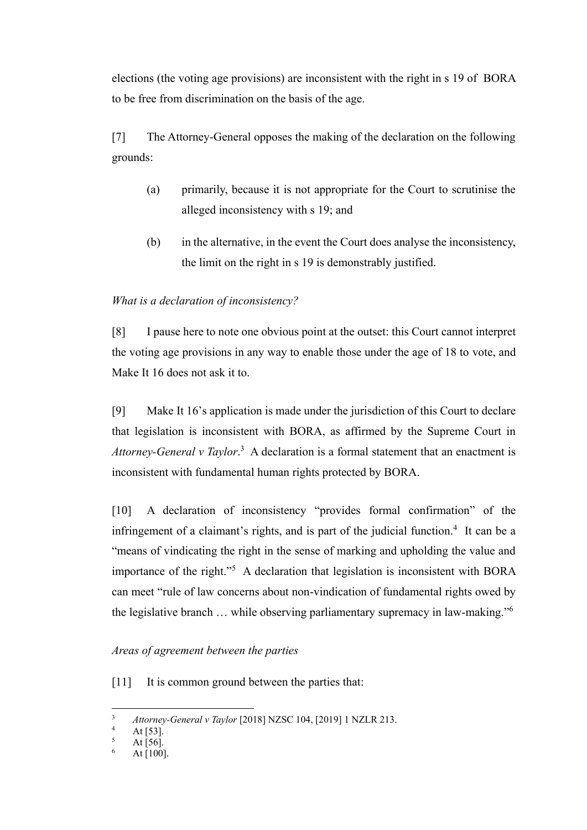elections (the voting age provisions) are inconsistent with the right in s 19 of BORA to be free from discrimination on the basis of the age.

[7] The Attorney-General opposes the making of the declaration on the following grounds:

- (a) primarily, because it is not appropriate for the Court to scrutinise the alleged inconsistency with s 19; and
- (b) in the alternative, in the event the Court does analyse the inconsistency, the limit on the right in s 19 is demonstrably justified.

### *What is a declaration of inconsistency?*

[8] I pause here to note one obvious point at the outset: this Court cannot interpret the voting age provisions in any way to enable those under the age of 18 to vote, and Make It 16 does not ask it to.

<span id="page-3-1"></span><span id="page-3-0"></span>[9] Make It 16's application is made under the jurisdiction of this Court to declare that legislation is inconsistent with BORA, as affirmed by the Supreme Court in Attorney-General v Taylor.<sup>3</sup> A declaration is a formal statement that an enactment is inconsistent with fundamental human rights protected by BORA.

[10] A declaration of inconsistency "provides formal confirmation" of the infringement of a claimant's rights, and is part of the judicial function.<sup>4</sup> It can be a "means of vindicating the right in the sense of marking and upholding the value and importance of the right." 5 A declaration that legislation is inconsistent with BORA can meet "rule of law concerns about non-vindication of fundamental rights owed by the legislative branch ... while observing parliamentary supremacy in law-making."<sup>6</sup>

#### *Areas of agreement between the parties*

[11] It is common ground between the parties that:

<sup>3</sup> *Attorney-General v Taylor* [2018] NZSC 104, [2019] 1 NZLR 213.

 $4$  At [53].

At  $[56]$ .

At  $[100]$ .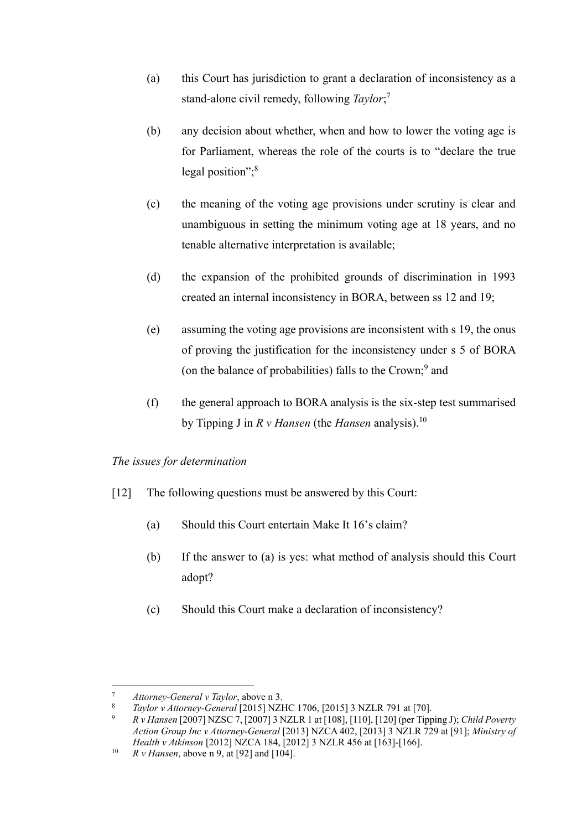- (a) this Court has jurisdiction to grant a declaration of inconsistency as a stand-alone civil remedy, following *Taylor*; 7
- (b) any decision about whether, when and how to lower the voting age is for Parliament, whereas the role of the courts is to "declare the true legal position":<sup>8</sup>
- <span id="page-4-1"></span>(c) the meaning of the voting age provisions under scrutiny is clear and unambiguous in setting the minimum voting age at 18 years, and no tenable alternative interpretation is available;
- (d) the expansion of the prohibited grounds of discrimination in 1993 created an internal inconsistency in BORA, between ss 12 and 19;
- (e) assuming the voting age provisions are inconsistent with s 19, the onus of proving the justification for the inconsistency under s 5 of BORA (on the balance of probabilities) falls to the Crown;<sup>9</sup> and
- <span id="page-4-0"></span>(f) the general approach to BORA analysis is the six-step test summarised by Tipping J in  $\ddot{R}$  *v Hansen* (the *Hansen* analysis).<sup>10</sup>

## *The issues for determination*

- [12] The following questions must be answered by this Court:
	- (a) Should this Court entertain Make It 16's claim?
	- (b) If the answer to (a) is yes: what method of analysis should this Court adopt?
	- (c) Should this Court make a declaration of inconsistency?

 $\overline{a}$ <sup>7</sup> *Attorney-General v Taylor*, above n [3.](#page-3-0)

<sup>8</sup> *Taylor v Attorney-General* [2015] NZHC 1706, [2015] 3 NZLR 791 at [70].

<sup>9</sup> *R v Hansen* [2007] NZSC 7, [2007] 3 NZLR 1 at [108], [110], [120] (per Tipping J); *Child Poverty Action Group Inc v Attorney-General* [2013] NZCA 402, [2013] 3 NZLR 729 at [91]; *Ministry of Health v Atkinson* [2012] NZCA 184, [2012] 3 NZLR 456 at [163]-[166].

<sup>10</sup> *R v Hansen*, above [n 9,](#page-4-0) at [92] and [104].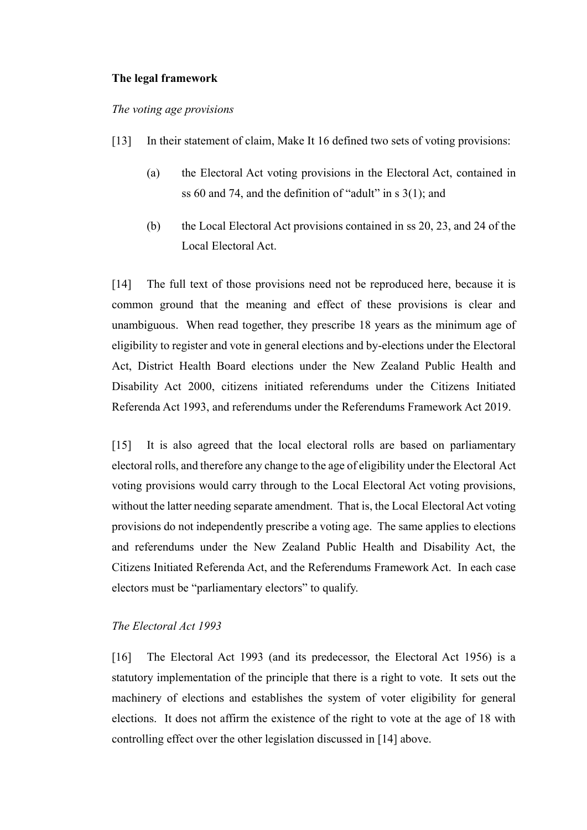### **The legal framework**

#### *The voting age provisions*

- [13] In their statement of claim, Make It 16 defined two sets of voting provisions:
	- (a) the Electoral Act voting provisions in the Electoral Act, contained in ss 60 and 74, and the definition of "adult" in s 3(1); and
	- (b) the Local Electoral Act provisions contained in ss 20, 23, and 24 of the Local Electoral Act.

<span id="page-5-0"></span>[14] The full text of those provisions need not be reproduced here, because it is common ground that the meaning and effect of these provisions is clear and unambiguous. When read together, they prescribe 18 years as the minimum age of eligibility to register and vote in general elections and by-elections under the Electoral Act, District Health Board elections under the New Zealand Public Health and Disability Act 2000, citizens initiated referendums under the Citizens Initiated Referenda Act 1993, and referendums under the Referendums Framework Act 2019.

[15] It is also agreed that the local electoral rolls are based on parliamentary electoral rolls, and therefore any change to the age of eligibility under the Electoral Act voting provisions would carry through to the Local Electoral Act voting provisions, without the latter needing separate amendment. That is, the Local Electoral Act voting provisions do not independently prescribe a voting age. The same applies to elections and referendums under the New Zealand Public Health and Disability Act, the Citizens Initiated Referenda Act, and the Referendums Framework Act. In each case electors must be "parliamentary electors" to qualify.

## *The Electoral Act 1993*

[16] The Electoral Act 1993 (and its predecessor, the Electoral Act 1956) is a statutory implementation of the principle that there is a right to vote. It sets out the machinery of elections and establishes the system of voter eligibility for general elections. It does not affirm the existence of the right to vote at the age of 18 with controlling effect over the other legislation discussed in [\[14\]](#page-5-0) above.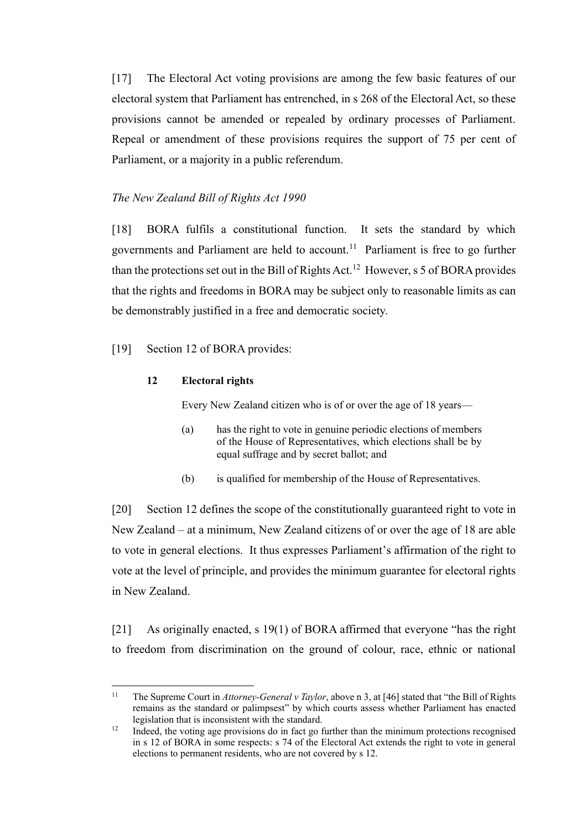[17] The Electoral Act voting provisions are among the few basic features of our electoral system that Parliament has entrenched, in s 268 of the Electoral Act, so these provisions cannot be amended or repealed by ordinary processes of Parliament. Repeal or amendment of these provisions requires the support of 75 per cent of Parliament, or a majority in a public referendum.

#### *The New Zealand Bill of Rights Act 1990*

[18] BORA fulfils a constitutional function. It sets the standard by which governments and Parliament are held to account.<sup>11</sup> Parliament is free to go further than the protections set out in the Bill of Rights Act.<sup>12</sup> However, s 5 of BORA provides that the rights and freedoms in BORA may be subject only to reasonable limits as can be demonstrably justified in a free and democratic society.

#### [19] Section 12 of BORA provides:

#### **12 Electoral rights**

Every New Zealand citizen who is of or over the age of 18 years—

- (a) has the right to vote in genuine periodic elections of members of the House of Representatives, which elections shall be by equal suffrage and by secret ballot; and
- (b) is qualified for membership of the House of Representatives.

[20] Section 12 defines the scope of the constitutionally guaranteed right to vote in New Zealand – at a minimum, New Zealand citizens of or over the age of 18 are able to vote in general elections. It thus expresses Parliament's affirmation of the right to vote at the level of principle, and provides the minimum guarantee for electoral rights in New Zealand.

[21] As originally enacted, s 19(1) of BORA affirmed that everyone "has the right to freedom from discrimination on the ground of colour, race, ethnic or national

 $11$ <sup>11</sup> The Supreme Court in *Attorney-General v Taylor*, above n [3,](#page-3-1) at [46] stated that "the Bill of Rights remains as the standard or palimpsest" by which courts assess whether Parliament has enacted legislation that is inconsistent with the standard.

<sup>&</sup>lt;sup>12</sup> Indeed, the voting age provisions do in fact go further than the minimum protections recognised in s 12 of BORA in some respects: s 74 of the Electoral Act extends the right to vote in general elections to permanent residents, who are not covered by s 12.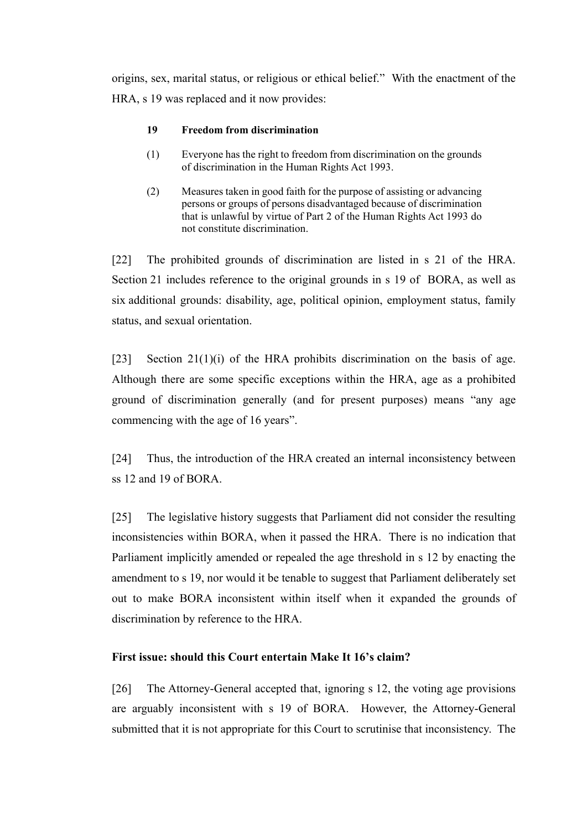origins, sex, marital status, or religious or ethical belief." With the enactment of the HRA, s 19 was replaced and it now provides:

#### **19 Freedom from discrimination**

- (1) Everyone has the right to freedom from discrimination on the grounds of discrimination in the Human Rights Act 1993.
- (2) Measures taken in good faith for the purpose of assisting or advancing persons or groups of persons disadvantaged because of discrimination that is unlawful by virtue of Part 2 of the Human Rights Act 1993 do not constitute discrimination.

[22] The prohibited grounds of discrimination are listed in s 21 of the HRA. Section 21 includes reference to the original grounds in s 19 of BORA, as well as six additional grounds: disability, age, political opinion, employment status, family status, and sexual orientation.

[23] Section  $21(1)(i)$  of the HRA prohibits discrimination on the basis of age. Although there are some specific exceptions within the HRA, age as a prohibited ground of discrimination generally (and for present purposes) means "any age commencing with the age of 16 years".

[24] Thus, the introduction of the HRA created an internal inconsistency between ss 12 and 19 of BORA.

[25] The legislative history suggests that Parliament did not consider the resulting inconsistencies within BORA, when it passed the HRA. There is no indication that Parliament implicitly amended or repealed the age threshold in s 12 by enacting the amendment to s 19, nor would it be tenable to suggest that Parliament deliberately set out to make BORA inconsistent within itself when it expanded the grounds of discrimination by reference to the HRA.

### **First issue: should this Court entertain Make It 16's claim?**

[26] The Attorney-General accepted that, ignoring s 12, the voting age provisions are arguably inconsistent with s 19 of BORA. However, the Attorney-General submitted that it is not appropriate for this Court to scrutinise that inconsistency. The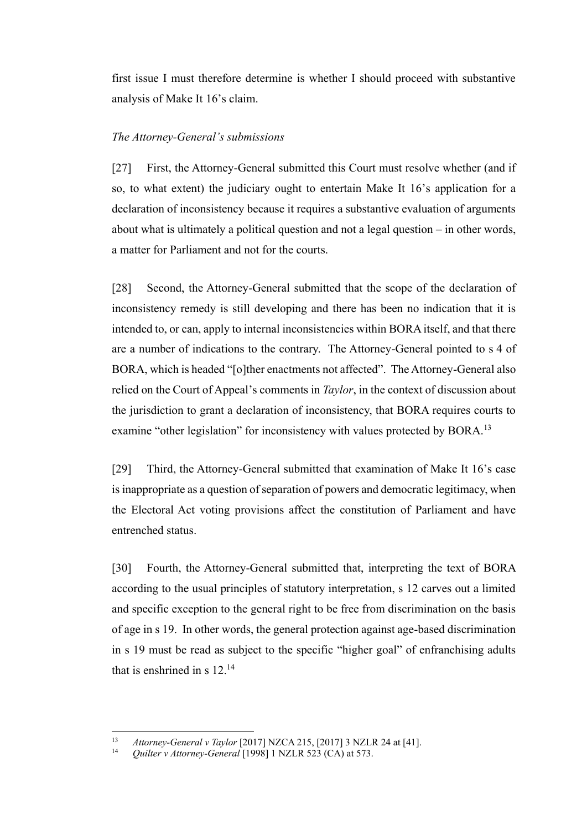first issue I must therefore determine is whether I should proceed with substantive analysis of Make It 16's claim.

#### *The Attorney-General's submissions*

[27] First, the Attorney-General submitted this Court must resolve whether (and if so, to what extent) the judiciary ought to entertain Make It 16's application for a declaration of inconsistency because it requires a substantive evaluation of arguments about what is ultimately a political question and not a legal question – in other words, a matter for Parliament and not for the courts.

[28] Second, the Attorney-General submitted that the scope of the declaration of inconsistency remedy is still developing and there has been no indication that it is intended to, or can, apply to internal inconsistencies within BORA itself, and that there are a number of indications to the contrary. The Attorney-General pointed to s 4 of BORA, which is headed "[o]ther enactments not affected". The Attorney-General also relied on the Court of Appeal's comments in *Taylor*, in the context of discussion about the jurisdiction to grant a declaration of inconsistency, that BORA requires courts to examine "other legislation" for inconsistency with values protected by BORA.<sup>13</sup>

<span id="page-8-0"></span>[29] Third, the Attorney-General submitted that examination of Make It 16's case is inappropriate as a question of separation of powers and democratic legitimacy, when the Electoral Act voting provisions affect the constitution of Parliament and have entrenched status.

[30] Fourth, the Attorney-General submitted that, interpreting the text of BORA according to the usual principles of statutory interpretation, s 12 carves out a limited and specific exception to the general right to be free from discrimination on the basis of age in s 19. In other words, the general protection against age-based discrimination in s 19 must be read as subject to the specific "higher goal" of enfranchising adults that is enshrined in s  $12.^{14}$ 

<span id="page-8-1"></span> $13$ <sup>13</sup> *Attorney-General v Taylor* [2017] NZCA 215, [2017] 3 NZLR 24 at [41].

<sup>14</sup> *Quilter v Attorney-General* [1998] 1 NZLR 523 (CA) at 573.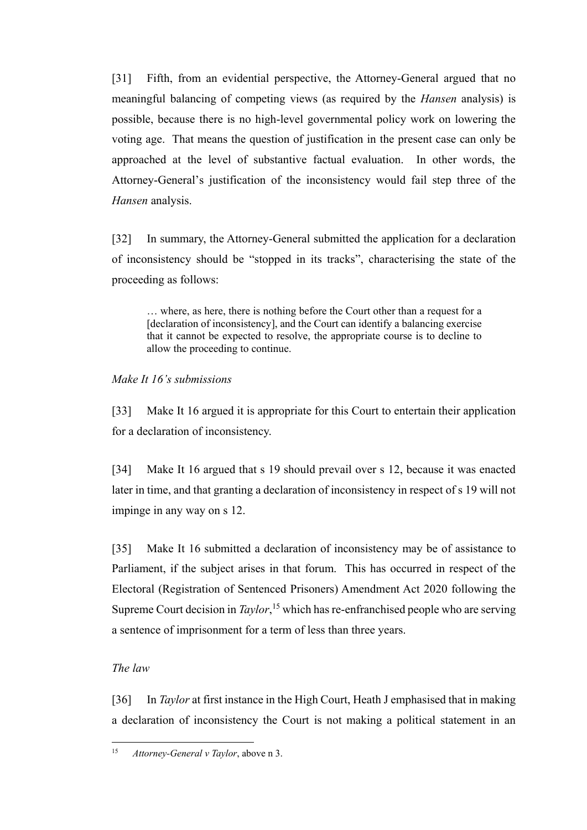[31] Fifth, from an evidential perspective, the Attorney-General argued that no meaningful balancing of competing views (as required by the *Hansen* analysis) is possible, because there is no high-level governmental policy work on lowering the voting age. That means the question of justification in the present case can only be approached at the level of substantive factual evaluation. In other words, the Attorney-General's justification of the inconsistency would fail step three of the *Hansen* analysis.

[32] In summary, the Attorney-General submitted the application for a declaration of inconsistency should be "stopped in its tracks", characterising the state of the proceeding as follows:

… where, as here, there is nothing before the Court other than a request for a [declaration of inconsistency], and the Court can identify a balancing exercise that it cannot be expected to resolve, the appropriate course is to decline to allow the proceeding to continue.

### *Make It 16's submissions*

[33] Make It 16 argued it is appropriate for this Court to entertain their application for a declaration of inconsistency.

[34] Make It 16 argued that s 19 should prevail over s 12, because it was enacted later in time, and that granting a declaration of inconsistency in respect of s 19 will not impinge in any way on s 12.

[35] Make It 16 submitted a declaration of inconsistency may be of assistance to Parliament, if the subject arises in that forum. This has occurred in respect of the Electoral (Registration of Sentenced Prisoners) Amendment Act 2020 following the Supreme Court decision in *Taylor*, <sup>15</sup> which has re-enfranchised people who are serving a sentence of imprisonment for a term of less than three years.

## *The law*

 $\overline{a}$ 

[36] In *Taylor* at first instance in the High Court, Heath J emphasised that in making a declaration of inconsistency the Court is not making a political statement in an

<sup>15</sup> *Attorney-General v Taylor*, above n [3.](#page-3-0)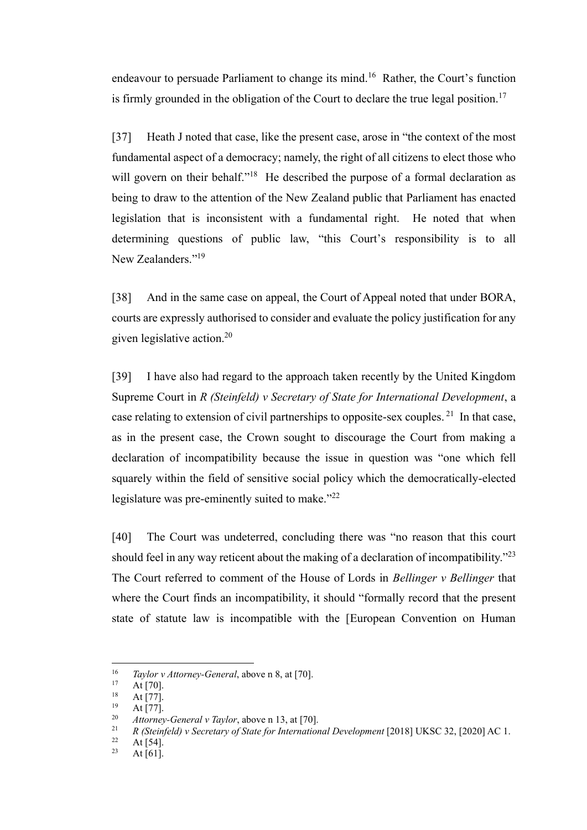endeavour to persuade Parliament to change its mind.<sup>16</sup> Rather, the Court's function is firmly grounded in the obligation of the Court to declare the true legal position.<sup>17</sup>

[37] Heath J noted that case, like the present case, arose in "the context of the most" fundamental aspect of a democracy; namely, the right of all citizens to elect those who will govern on their behalf."<sup>18</sup> He described the purpose of a formal declaration as being to draw to the attention of the New Zealand public that Parliament has enacted legislation that is inconsistent with a fundamental right. He noted that when determining questions of public law, "this Court's responsibility is to all New Zealanders."<sup>19</sup>

[38] And in the same case on appeal, the Court of Appeal noted that under BORA, courts are expressly authorised to consider and evaluate the policy justification for any given legislative action.<sup>20</sup>

<span id="page-10-0"></span>[39] I have also had regard to the approach taken recently by the United Kingdom Supreme Court in *R (Steinfeld) v Secretary of State for International Development*, a case relating to extension of civil partnerships to opposite-sex couples.<sup>21</sup> In that case, as in the present case, the Crown sought to discourage the Court from making a declaration of incompatibility because the issue in question was "one which fell squarely within the field of sensitive social policy which the democratically-elected legislature was pre-eminently suited to make."<sup>22</sup>

[40] The Court was undeterred, concluding there was "no reason that this court should feel in any way reticent about the making of a declaration of incompatibility."<sup>23</sup> The Court referred to comment of the House of Lords in *Bellinger v Bellinger* that where the Court finds an incompatibility, it should "formally record that the present state of statute law is incompatible with the [European Convention on Human

<sup>&</sup>lt;sup>16</sup> *Taylor v Attorney-General*, above n [8,](#page-4-1) at [70].

 $17$  At [70].

 $18$  At [77].

 $19 \text{ At} [77]$ .<br>20 Attorney

<sup>&</sup>lt;sup>20</sup> *Attorney-General v Taylor*, above n [13,](#page-8-0) at [70].<br><sup>21</sup> *P* (Stainfold) v Sequetary of State for Internation

<sup>&</sup>lt;sup>21</sup> *R* (Steinfeld) *v* Secretary of State for International Development [2018] UKSC 32, [2020] AC 1.<br> $\frac{\lambda + 541}{\lambda + 541}$ 

 $\frac{22}{23}$  At [54].

At  $[61]$ .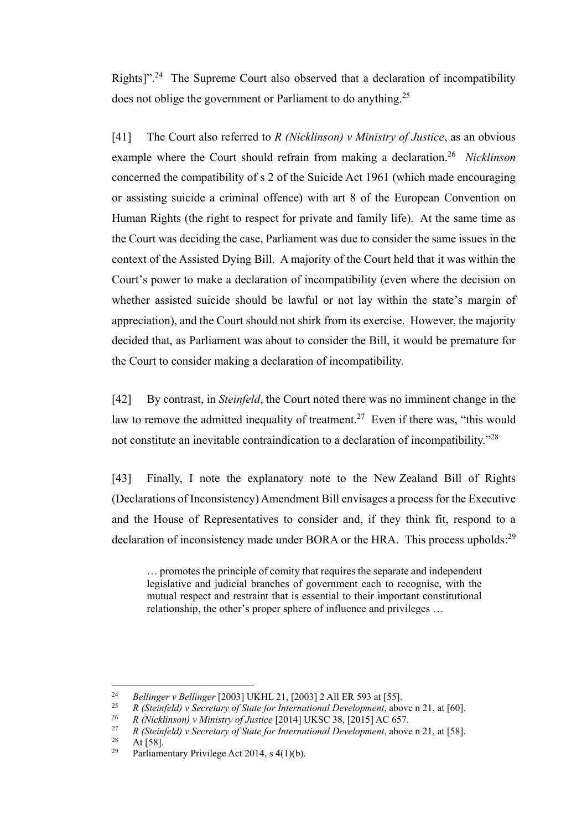Rights]".<sup>24</sup> The Supreme Court also observed that a declaration of incompatibility does not oblige the government or Parliament to do anything.<sup>25</sup>

[41] The Court also referred to *R (Nicklinson) v Ministry of Justice*, as an obvious example where the Court should refrain from making a declaration.<sup>26</sup> Nicklinson concerned the compatibility of s 2 of the Suicide Act 1961 (which made encouraging or assisting suicide a criminal offence) with art 8 of the European Convention on Human Rights (the right to respect for private and family life). At the same time as the Court was deciding the case, Parliament was due to consider the same issues in the context of the Assisted Dying Bill. A majority of the Court held that it was within the Court's power to make a declaration of incompatibility (even where the decision on whether assisted suicide should be lawful or not lay within the state's margin of appreciation), and the Court should not shirk from its exercise. However, the majority decided that, as Parliament was about to consider the Bill, it would be premature for the Court to consider making a declaration of incompatibility.

[42] By contrast, in *Steinfeld*, the Court noted there was no imminent change in the law to remove the admitted inequality of treatment.<sup>27</sup> Even if there was, "this would not constitute an inevitable contraindication to a declaration of incompatibility."<sup>28</sup>

[43] Finally, I note the explanatory note to the New Zealand Bill of Rights (Declarations of Inconsistency) Amendment Bill envisages a process for the Executive and the House of Representatives to consider and, if they think fit, respond to a declaration of inconsistency made under BORA or the HRA. This process upholds:<sup>29</sup>

… promotes the principle of comity that requires the separate and independent legislative and judicial branches of government each to recognise, with the mutual respect and restraint that is essential to their important constitutional relationship, the other's proper sphere of influence and privileges …

 $\frac{28}{29}$  At [58].

 $24$ <sup>24</sup> *Bellinger v Bellinger* [2003] UKHL 21, [2003] 2 All ER 593 at [55].<br><sup>25</sup> *B* (Steinfeld) y Secretary of State for International Development above

<sup>&</sup>lt;sup>25</sup> *R (Steinfeld) v Secretary of State for International Development*, above [n 21,](#page-10-0) at [60].<br><sup>26</sup> *P (Nightingon) v Ministry of Justice* [2014] JKSC 38, [2015] AC 657

<sup>26</sup> *R (Nicklinson) v Ministry of Justice* [2014] UKSC 38, [2015] AC 657.

<sup>&</sup>lt;sup>27</sup> *R* (Steinfeld) *v* Secretary of State for International Development, above [n 21,](#page-10-0) at [58].<br><sup>28</sup>  $\Delta t$  [58]

Parliamentary Privilege Act 2014, s 4(1)(b).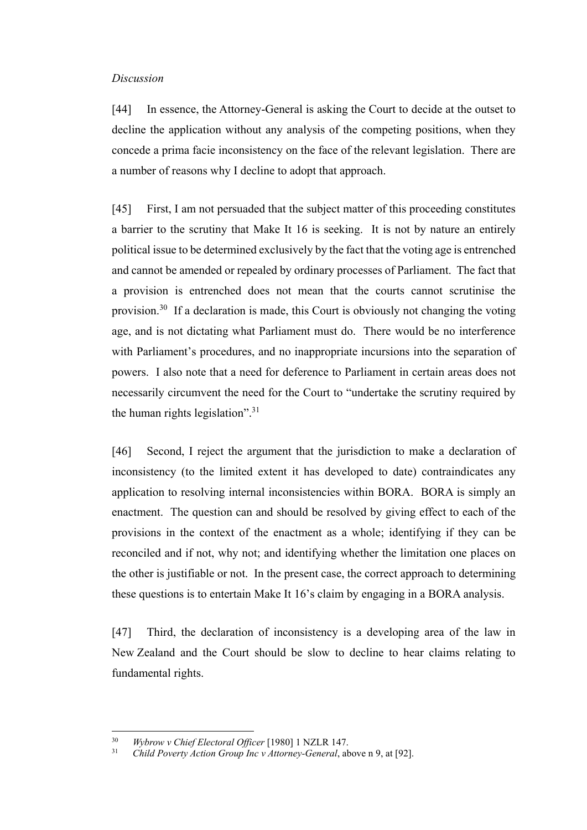#### *Discussion*

[44] In essence, the Attorney-General is asking the Court to decide at the outset to decline the application without any analysis of the competing positions, when they concede a prima facie inconsistency on the face of the relevant legislation. There are a number of reasons why I decline to adopt that approach.

[45] First, I am not persuaded that the subject matter of this proceeding constitutes a barrier to the scrutiny that Make It 16 is seeking. It is not by nature an entirely political issue to be determined exclusively by the fact that the voting age is entrenched and cannot be amended or repealed by ordinary processes of Parliament. The fact that a provision is entrenched does not mean that the courts cannot scrutinise the provision.<sup>30</sup> If a declaration is made, this Court is obviously not changing the voting age, and is not dictating what Parliament must do. There would be no interference with Parliament's procedures, and no inappropriate incursions into the separation of powers. I also note that a need for deference to Parliament in certain areas does not necessarily circumvent the need for the Court to "undertake the scrutiny required by the human rights legislation".<sup>31</sup>

[46] Second, I reject the argument that the jurisdiction to make a declaration of inconsistency (to the limited extent it has developed to date) contraindicates any application to resolving internal inconsistencies within BORA. BORA is simply an enactment. The question can and should be resolved by giving effect to each of the provisions in the context of the enactment as a whole; identifying if they can be reconciled and if not, why not; and identifying whether the limitation one places on the other is justifiable or not. In the present case, the correct approach to determining these questions is to entertain Make It 16's claim by engaging in a BORA analysis.

[47] Third, the declaration of inconsistency is a developing area of the law in New Zealand and the Court should be slow to decline to hear claims relating to fundamental rights.

 $30$ <sup>30</sup> *Wybrow v Chief Electoral Officer* [1980] 1 NZLR 147.

<sup>31</sup> *Child Poverty Action Group Inc v Attorney-General*, above n [9,](#page-4-0) at [92].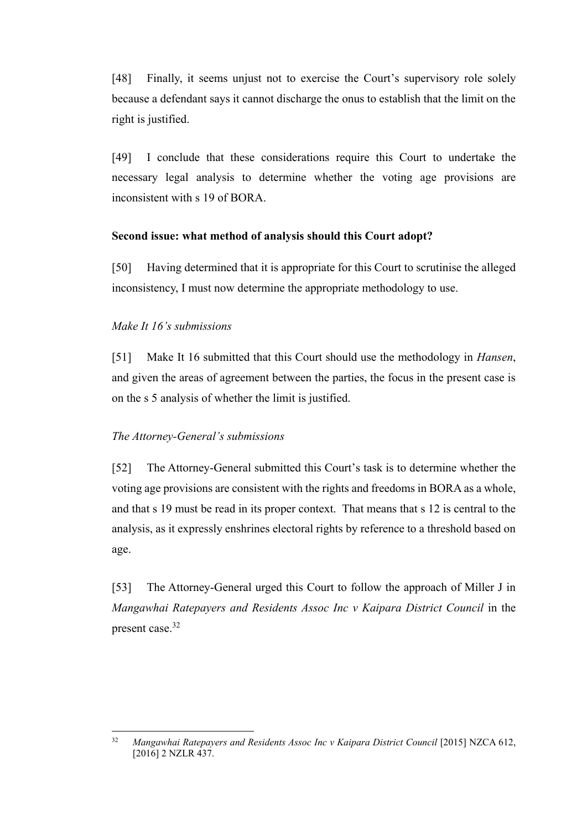[48] Finally, it seems unjust not to exercise the Court's supervisory role solely because a defendant says it cannot discharge the onus to establish that the limit on the right is justified.

[49] I conclude that these considerations require this Court to undertake the necessary legal analysis to determine whether the voting age provisions are inconsistent with s 19 of BORA.

#### **Second issue: what method of analysis should this Court adopt?**

[50] Having determined that it is appropriate for this Court to scrutinise the alleged inconsistency, I must now determine the appropriate methodology to use.

#### *Make It 16's submissions*

[51] Make It 16 submitted that this Court should use the methodology in *Hansen*, and given the areas of agreement between the parties, the focus in the present case is on the s 5 analysis of whether the limit is justified.

#### *The Attorney-General's submissions*

[52] The Attorney-General submitted this Court's task is to determine whether the voting age provisions are consistent with the rights and freedoms in BORA as a whole, and that s 19 must be read in its proper context. That means that s 12 is central to the analysis, as it expressly enshrines electoral rights by reference to a threshold based on age.

<span id="page-13-0"></span>[53] The Attorney-General urged this Court to follow the approach of Miller J in *Mangawhai Ratepayers and Residents Assoc Inc v Kaipara District Council* in the present case.<sup>32</sup>

 $32$ <sup>32</sup> *Mangawhai Ratepayers and Residents Assoc Inc v Kaipara District Council* [2015] NZCA 612, [2016] 2 NZLR 437.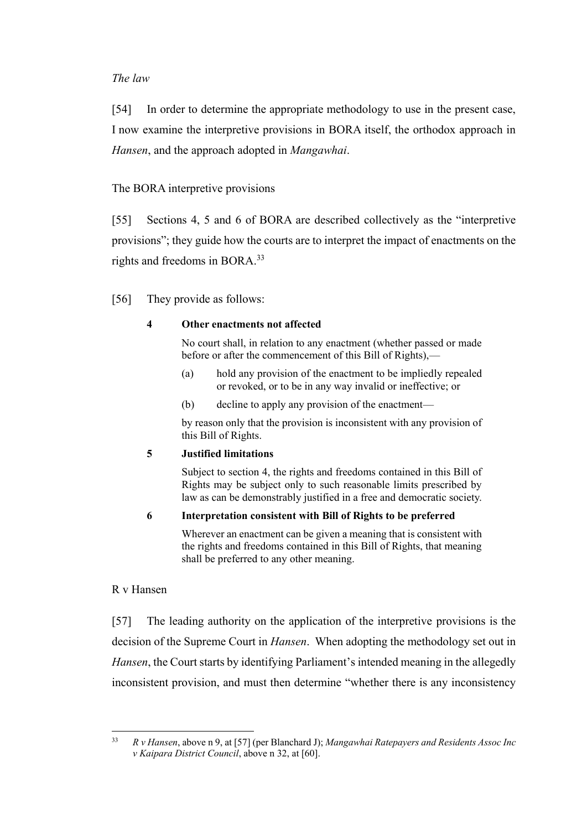## *The law*

[54] In order to determine the appropriate methodology to use in the present case, I now examine the interpretive provisions in BORA itself, the orthodox approach in *Hansen*, and the approach adopted in *Mangawhai*.

## The BORA interpretive provisions

[55] Sections 4, 5 and 6 of BORA are described collectively as the "interpretive provisions"; they guide how the courts are to interpret the impact of enactments on the rights and freedoms in BORA.<sup>33</sup>

[56] They provide as follows:

## **4 Other enactments not affected**

No court shall, in relation to any enactment (whether passed or made before or after the commencement of this Bill of Rights),—

- (a) hold any provision of the enactment to be impliedly repealed or revoked, or to be in any way invalid or ineffective; or
- (b) decline to apply any provision of the enactment—

by reason only that the provision is inconsistent with any provision of this Bill of Rights.

### **5 Justified limitations**

Subject to section 4, the rights and freedoms contained in this Bill of Rights may be subject only to such reasonable limits prescribed by law as can be demonstrably justified in a free and democratic society.

### **6 Interpretation consistent with Bill of Rights to be preferred**

Wherever an enactment can be given a meaning that is consistent with the rights and freedoms contained in this Bill of Rights, that meaning shall be preferred to any other meaning.

### R v Hansen

[57] The leading authority on the application of the interpretive provisions is the decision of the Supreme Court in *Hansen*. When adopting the methodology set out in *Hansen*, the Court starts by identifying Parliament's intended meaning in the allegedly inconsistent provision, and must then determine "whether there is any inconsistency

 $33$ <sup>33</sup> *R v Hansen*, above [n 9,](#page-4-0) at [57] (per Blanchard J); *Mangawhai Ratepayers and Residents Assoc Inc v Kaipara District Council*, above n [32,](#page-13-0) at [60].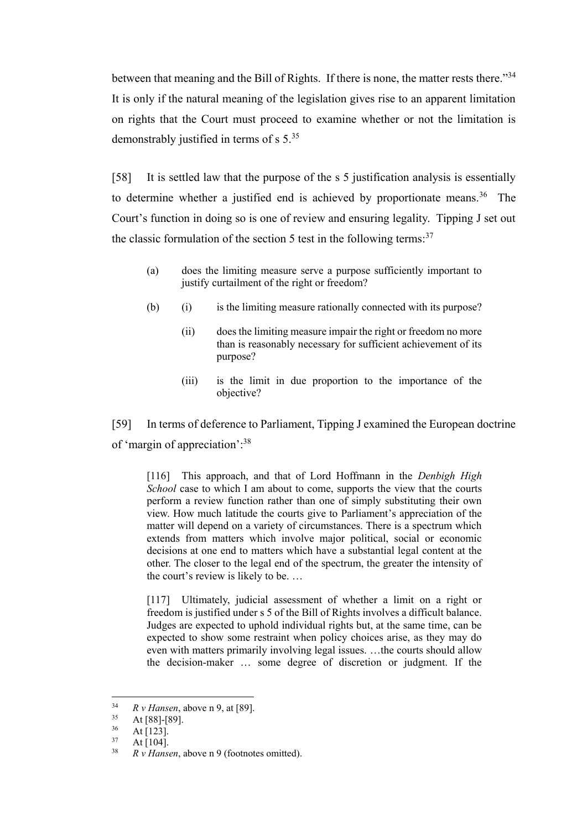between that meaning and the Bill of Rights. If there is none, the matter rests there."<sup>34</sup> It is only if the natural meaning of the legislation gives rise to an apparent limitation on rights that the Court must proceed to examine whether or not the limitation is demonstrably justified in terms of s 5.<sup>35</sup>

<span id="page-15-0"></span>[58] It is settled law that the purpose of the s 5 justification analysis is essentially to determine whether a justified end is achieved by proportionate means.<sup>36</sup> The Court's function in doing so is one of review and ensuring legality. Tipping J set out the classic formulation of the section 5 test in the following terms:  $37$ 

- (a) does the limiting measure serve a purpose sufficiently important to justify curtailment of the right or freedom?
- (b) (i) is the limiting measure rationally connected with its purpose?
	- (ii) does the limiting measure impair the right or freedom no more than is reasonably necessary for sufficient achievement of its purpose?
	- (iii) is the limit in due proportion to the importance of the objective?

<span id="page-15-1"></span>[59] In terms of deference to Parliament, Tipping J examined the European doctrine of 'margin of appreciation':<sup>38</sup>

[116] This approach, and that of Lord Hoffmann in the *Denbigh High School* case to which I am about to come, supports the view that the courts perform a review function rather than one of simply substituting their own view. How much latitude the courts give to Parliament's appreciation of the matter will depend on a variety of circumstances. There is a spectrum which extends from matters which involve major political, social or economic decisions at one end to matters which have a substantial legal content at the other. The closer to the legal end of the spectrum, the greater the intensity of the court's review is likely to be. …

[117] Ultimately, judicial assessment of whether a limit on a right or freedom is justified under s 5 of the Bill of Rights involves a difficult balance. Judges are expected to uphold individual rights but, at the same time, can be expected to show some restraint when policy choices arise, as they may do even with matters primarily involving legal issues. …the courts should allow the decision-maker … some degree of discretion or judgment. If the

 $34$  $\frac{34}{35}$  *R v Hansen*, above [n 9,](#page-4-0) at [89].

At [88]-[89].

 $\frac{36}{37}$  At [123].

At  $[104]$ .

<sup>38</sup> *R v Hansen*, above [n 9](#page-4-0) (footnotes omitted).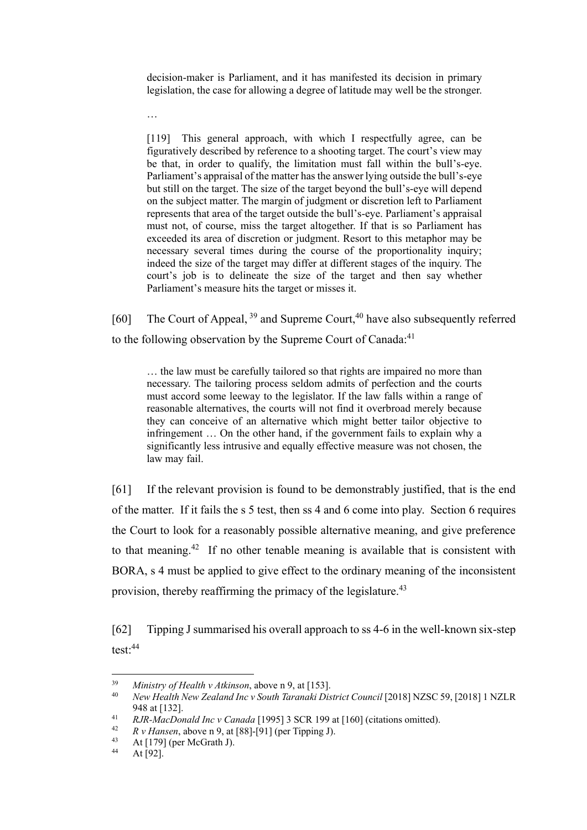decision-maker is Parliament, and it has manifested its decision in primary legislation, the case for allowing a degree of latitude may well be the stronger.

…

[119] This general approach, with which I respectfully agree, can be figuratively described by reference to a shooting target. The court's view may be that, in order to qualify, the limitation must fall within the bull's-eye. Parliament's appraisal of the matter has the answer lying outside the bull's-eye but still on the target. The size of the target beyond the bull's-eye will depend on the subject matter. The margin of judgment or discretion left to Parliament represents that area of the target outside the bull's-eye. Parliament's appraisal must not, of course, miss the target altogether. If that is so Parliament has exceeded its area of discretion or judgment. Resort to this metaphor may be necessary several times during the course of the proportionality inquiry; indeed the size of the target may differ at different stages of the inquiry. The court's job is to delineate the size of the target and then say whether Parliament's measure hits the target or misses it.

[60] The Court of Appeal,  $39$  and Supreme Court,  $40$  have also subsequently referred to the following observation by the Supreme Court of Canada:<sup>41</sup>

<span id="page-16-2"></span><span id="page-16-1"></span>… the law must be carefully tailored so that rights are impaired no more than necessary. The tailoring process seldom admits of perfection and the courts must accord some leeway to the legislator. If the law falls within a range of reasonable alternatives, the courts will not find it overbroad merely because they can conceive of an alternative which might better tailor objective to infringement … On the other hand, if the government fails to explain why a significantly less intrusive and equally effective measure was not chosen, the law may fail.

[61] If the relevant provision is found to be demonstrably justified, that is the end of the matter. If it fails the s 5 test, then ss 4 and 6 come into play. Section 6 requires the Court to look for a reasonably possible alternative meaning, and give preference to that meaning.<sup>42</sup> If no other tenable meaning is available that is consistent with BORA, s 4 must be applied to give effect to the ordinary meaning of the inconsistent provision, thereby reaffirming the primacy of the legislature.<sup>43</sup>

<span id="page-16-0"></span>[62] Tipping J summarised his overall approach to ss 4-6 in the well-known six-step test:<sup>44</sup>

<sup>39</sup> *Ministry of Health v Atkinson*, above [n 9,](#page-4-0) at [153].

<sup>40</sup> *New Health New Zealand Inc v South Taranaki District Council* [2018] NZSC 59, [2018] 1 NZLR 948 at [132].

<sup>41</sup> *RJR-MacDonald Inc v Canada* [1995] 3 SCR 199 at [160] (citations omitted).

<sup>42</sup> *R v Hansen*, above [n 9,](#page-4-0) at [88]-[91] (per Tipping J).

 $^{43}$  At [179] (per McGrath J).

At  $[92]$ .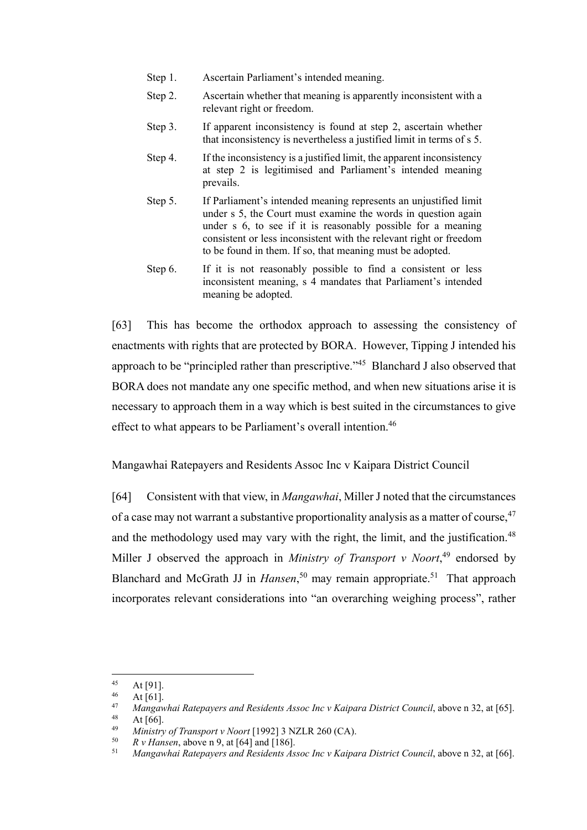- Step 1. Ascertain Parliament's intended meaning.
- Step 2. Ascertain whether that meaning is apparently inconsistent with a relevant right or freedom.
- Step 3. If apparent inconsistency is found at step 2, ascertain whether that inconsistency is nevertheless a justified limit in terms of s 5.
- Step 4. If the inconsistency is a justified limit, the apparent inconsistency at step 2 is legitimised and Parliament's intended meaning prevails.
- Step 5. If Parliament's intended meaning represents an unjustified limit under s 5, the Court must examine the words in question again under s 6, to see if it is reasonably possible for a meaning consistent or less inconsistent with the relevant right or freedom to be found in them. If so, that meaning must be adopted.
- Step 6. If it is not reasonably possible to find a consistent or less inconsistent meaning, s 4 mandates that Parliament's intended meaning be adopted.

[63] This has become the orthodox approach to assessing the consistency of enactments with rights that are protected by BORA. However, Tipping J intended his approach to be "principled rather than prescriptive."<sup>45</sup> Blanchard J also observed that BORA does not mandate any one specific method, and when new situations arise it is necessary to approach them in a way which is best suited in the circumstances to give effect to what appears to be Parliament's overall intention.<sup>46</sup>

Mangawhai Ratepayers and Residents Assoc Inc v Kaipara District Council

[64] Consistent with that view, in *Mangawhai*, Miller J noted that the circumstances of a case may not warrant a substantive proportionality analysis as a matter of course,  $47$ and the methodology used may vary with the right, the limit, and the justification.<sup>48</sup> Miller J observed the approach in *Ministry of Transport v Noort*, <sup>49</sup> endorsed by Blanchard and McGrath JJ in *Hansen*,<sup>50</sup> may remain appropriate.<sup>51</sup> That approach incorporates relevant considerations into "an overarching weighing process", rather

 $45$  $45$  At [91].

 $46$  At [61].

<sup>47</sup> *Mangawhai Ratepayers and Residents Assoc Inc v Kaipara District Council*, above n [32,](#page-13-0) at [65].  $48$  At [66].

<sup>49</sup> *Ministry of Transport v Noort* [1992] 3 NZLR 260 (CA).

 $50$  *R v Hansen*, above [n 9,](#page-4-0) at [64] and [186].<br> $51$  *Mangawhai Ratenavers and Residents As* 

<sup>51</sup> *Mangawhai Ratepayers and Residents Assoc Inc v Kaipara District Council*, above n [32,](#page-13-0) at [66].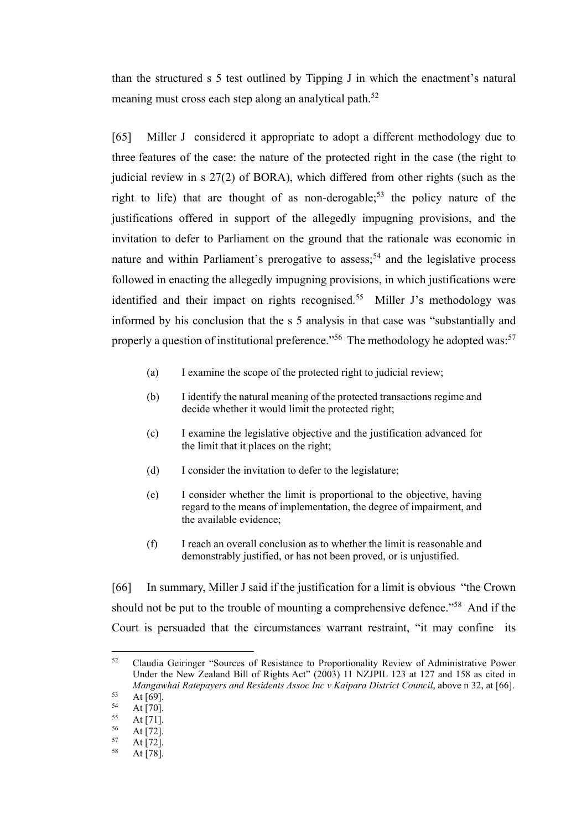than the structured s 5 test outlined by Tipping J in which the enactment's natural meaning must cross each step along an analytical path.<sup>52</sup>

[65] Miller J considered it appropriate to adopt a different methodology due to three features of the case: the nature of the protected right in the case (the right to judicial review in s 27(2) of BORA), which differed from other rights (such as the right to life) that are thought of as non-derogable;<sup>53</sup> the policy nature of the justifications offered in support of the allegedly impugning provisions, and the invitation to defer to Parliament on the ground that the rationale was economic in nature and within Parliament's prerogative to assess;<sup>54</sup> and the legislative process followed in enacting the allegedly impugning provisions, in which justifications were identified and their impact on rights recognised.<sup>55</sup> Miller J's methodology was informed by his conclusion that the s 5 analysis in that case was "substantially and properly a question of institutional preference."<sup>56</sup> The methodology he adopted was:<sup>57</sup>

- (a) I examine the scope of the protected right to judicial review;
- (b) I identify the natural meaning of the protected transactions regime and decide whether it would limit the protected right;
- (c) I examine the legislative objective and the justification advanced for the limit that it places on the right;
- (d) I consider the invitation to defer to the legislature;
- (e) I consider whether the limit is proportional to the objective, having regard to the means of implementation, the degree of impairment, and the available evidence;
- (f) I reach an overall conclusion as to whether the limit is reasonable and demonstrably justified, or has not been proved, or is unjustified.

[66] In summary, Miller J said if the justification for a limit is obvious "the Crown should not be put to the trouble of mounting a comprehensive defence."<sup>58</sup> And if the Court is persuaded that the circumstances warrant restraint, "it may confine its

<sup>&</sup>lt;sup>52</sup> Claudia Geiringer "Sources of Resistance to Proportionality Review of Administrative Power Under the New Zealand Bill of Rights Act" (2003) 11 NZJPIL 123 at 127 and 158 as cited in *Mangawhai Ratepayers and Residents Assoc Inc v Kaipara District Council*, above n [32,](#page-13-0) at [66].

 $53$  At [69].

 $54$  At [70].

 $55$  At [71].<br> $56$  At [72]

 $56$  At [72].

 $57$  At [72].<br> $58$  At [78]

At [78].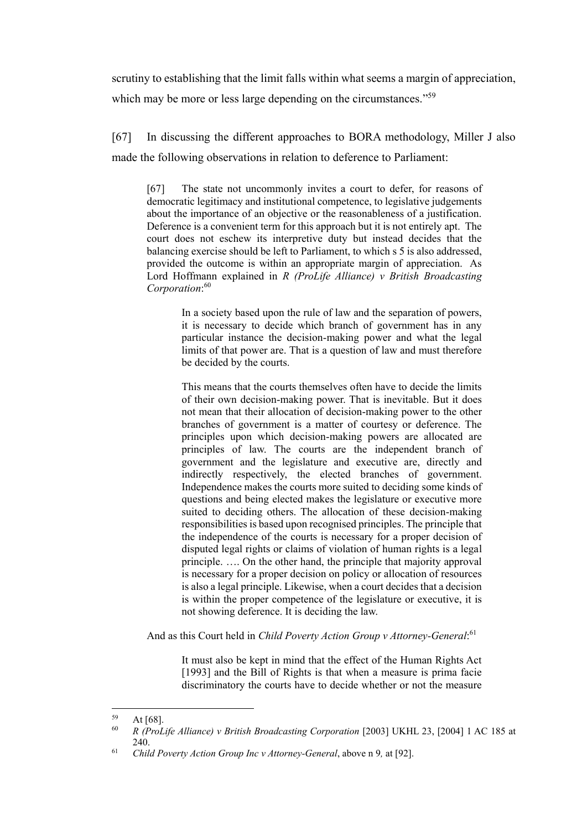scrutiny to establishing that the limit falls within what seems a margin of appreciation, which may be more or less large depending on the circumstances."<sup>59</sup>

[67] In discussing the different approaches to BORA methodology, Miller J also made the following observations in relation to deference to Parliament:

[67] The state not uncommonly invites a court to defer, for reasons of democratic legitimacy and institutional competence, to legislative judgements about the importance of an objective or the reasonableness of a justification. Deference is a convenient term for this approach but it is not entirely apt. The court does not eschew its interpretive duty but instead decides that the balancing exercise should be left to Parliament, to which s 5 is also addressed, provided the outcome is within an appropriate margin of appreciation. As Lord Hoffmann explained in *R (ProLife Alliance) v British Broadcasting Corporation*: 60

> In a society based upon the rule of law and the separation of powers, it is necessary to decide which branch of government has in any particular instance the decision-making power and what the legal limits of that power are. That is a question of law and must therefore be decided by the courts.

> This means that the courts themselves often have to decide the limits of their own decision-making power. That is inevitable. But it does not mean that their allocation of decision-making power to the other branches of government is a matter of courtesy or deference. The principles upon which decision-making powers are allocated are principles of law. The courts are the independent branch of government and the legislature and executive are, directly and indirectly respectively, the elected branches of government. Independence makes the courts more suited to deciding some kinds of questions and being elected makes the legislature or executive more suited to deciding others. The allocation of these decision-making responsibilities is based upon recognised principles. The principle that the independence of the courts is necessary for a proper decision of disputed legal rights or claims of violation of human rights is a legal principle. …. On the other hand, the principle that majority approval is necessary for a proper decision on policy or allocation of resources is also a legal principle. Likewise, when a court decides that a decision is within the proper competence of the legislature or executive, it is not showing deference. It is deciding the law.

And as this Court held in *Child Poverty Action Group v Attorney-General*: 61

It must also be kept in mind that the effect of the Human Rights Act [1993] and the Bill of Rights is that when a measure is prima facie discriminatory the courts have to decide whether or not the measure

<sup>59</sup>  $59 \text{ At } [68].$ 

<sup>60</sup> *R (ProLife Alliance) v British Broadcasting Corporation* [2003] UKHL 23, [2004] 1 AC 185 at 240

<sup>61</sup> *Child Poverty Action Group Inc v Attorney-General*, above n [9](#page-4-0)*,* at [92].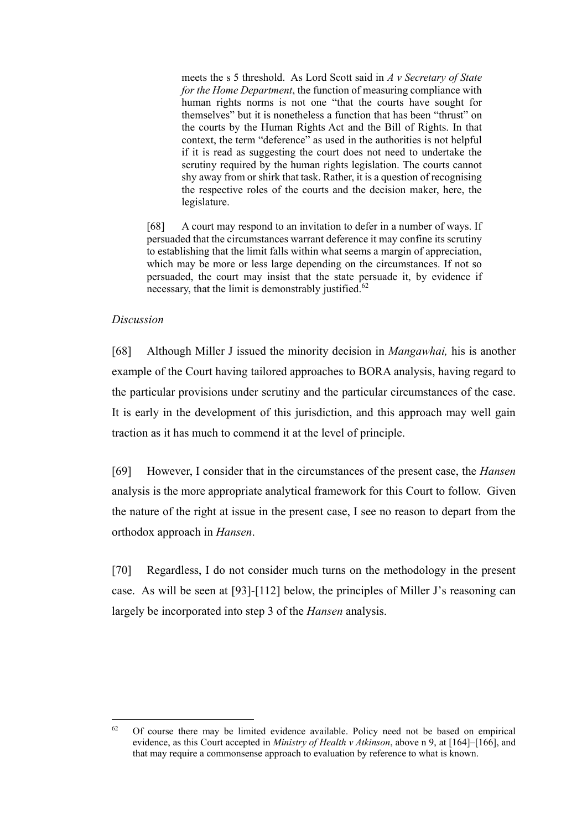meets the s 5 threshold. As Lord Scott said in *A v Secretary of State for the Home Department*, the function of measuring compliance with human rights norms is not one "that the courts have sought for themselves" but it is nonetheless a function that has been "thrust" on the courts by the Human Rights Act and the Bill of Rights. In that context, the term "deference" as used in the authorities is not helpful if it is read as suggesting the court does not need to undertake the scrutiny required by the human rights legislation. The courts cannot shy away from or shirk that task. Rather, it is a question of recognising the respective roles of the courts and the decision maker, here, the legislature.

[68] A court may respond to an invitation to defer in a number of ways. If persuaded that the circumstances warrant deference it may confine its scrutiny to establishing that the limit falls within what seems a margin of appreciation, which may be more or less large depending on the circumstances. If not so persuaded, the court may insist that the state persuade it, by evidence if necessary, that the limit is demonstrably justified. $62$ 

#### *Discussion*

[68] Although Miller J issued the minority decision in *Mangawhai,* his is another example of the Court having tailored approaches to BORA analysis, having regard to the particular provisions under scrutiny and the particular circumstances of the case. It is early in the development of this jurisdiction, and this approach may well gain traction as it has much to commend it at the level of principle.

[69] However, I consider that in the circumstances of the present case, the *Hansen* analysis is the more appropriate analytical framework for this Court to follow. Given the nature of the right at issue in the present case, I see no reason to depart from the orthodox approach in *Hansen*.

[70] Regardless, I do not consider much turns on the methodology in the present case. As will be seen at [\[93\]](#page-26-0)[-\[112\]](#page-32-0) below, the principles of Miller J's reasoning can largely be incorporated into step 3 of the *Hansen* analysis.

<sup>62</sup> <sup>62</sup> Of course there may be limited evidence available. Policy need not be based on empirical evidence, as this Court accepted in *Ministry of Health v Atkinson*, above n [9,](#page-4-0) at [164]–[166], and that may require a commonsense approach to evaluation by reference to what is known.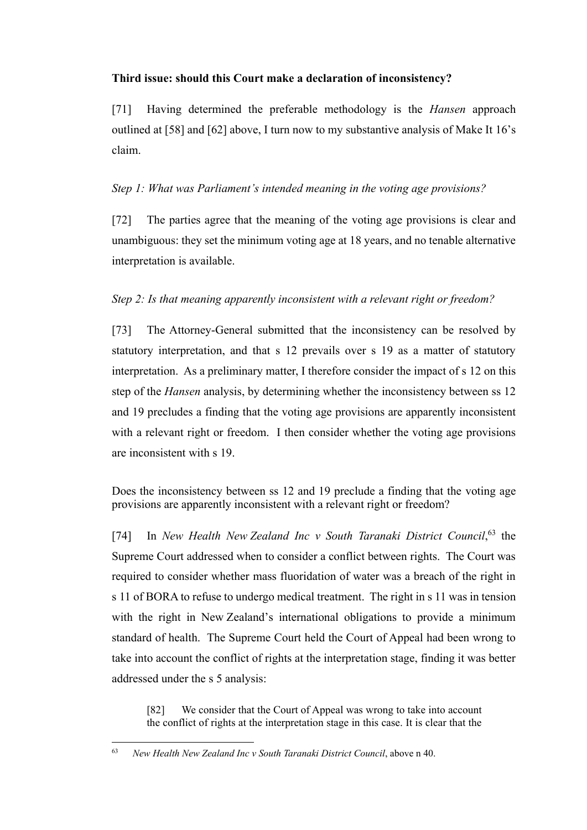## **Third issue: should this Court make a declaration of inconsistency?**

[71] Having determined the preferable methodology is the *Hansen* approach outlined at [\[58\]](#page-15-0) and [\[62\]](#page-16-0) above, I turn now to my substantive analysis of Make It 16's claim.

# *Step 1: What was Parliament's intended meaning in the voting age provisions?*

[72] The parties agree that the meaning of the voting age provisions is clear and unambiguous: they set the minimum voting age at 18 years, and no tenable alternative interpretation is available.

# *Step 2: Is that meaning apparently inconsistent with a relevant right or freedom?*

[73] The Attorney-General submitted that the inconsistency can be resolved by statutory interpretation, and that s 12 prevails over s 19 as a matter of statutory interpretation. As a preliminary matter, I therefore consider the impact of s 12 on this step of the *Hansen* analysis, by determining whether the inconsistency between ss 12 and 19 precludes a finding that the voting age provisions are apparently inconsistent with a relevant right or freedom. I then consider whether the voting age provisions are inconsistent with s 19.

Does the inconsistency between ss 12 and 19 preclude a finding that the voting age provisions are apparently inconsistent with a relevant right or freedom?

[74] In *New Health New Zealand Inc v South Taranaki District Council*, <sup>63</sup> the Supreme Court addressed when to consider a conflict between rights. The Court was required to consider whether mass fluoridation of water was a breach of the right in s 11 of BORA to refuse to undergo medical treatment. The right in s 11 was in tension with the right in New Zealand's international obligations to provide a minimum standard of health. The Supreme Court held the Court of Appeal had been wrong to take into account the conflict of rights at the interpretation stage, finding it was better addressed under the s 5 analysis:

[82] We consider that the Court of Appeal was wrong to take into account the conflict of rights at the interpretation stage in this case. It is clear that the

 $\overline{a}$ <sup>63</sup> *New Health New Zealand Inc v South Taranaki District Council*, above [n 40.](#page-16-1)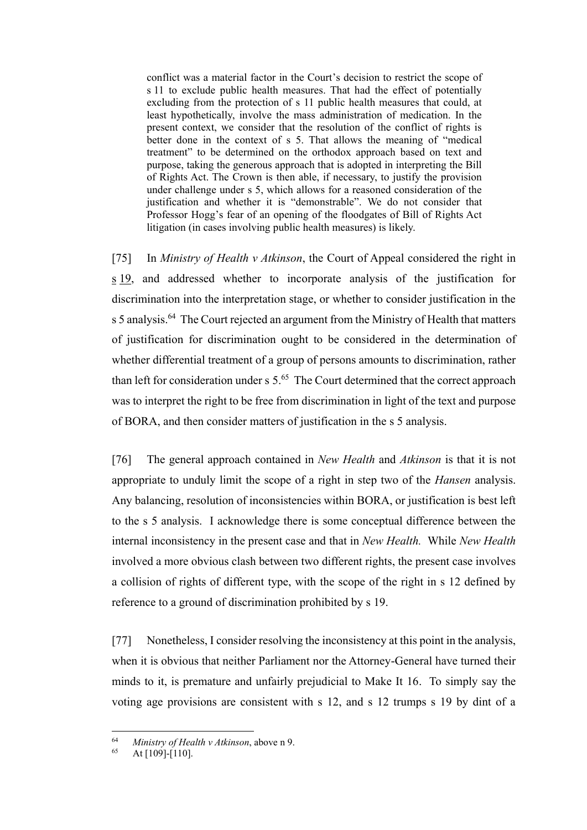conflict was a material factor in the Court's decision to restrict the scope of s 11 to exclude public health measures. That had the effect of potentially excluding from the protection of s 11 public health measures that could, at least hypothetically, involve the mass administration of medication. In the present context, we consider that the resolution of the conflict of rights is better done in the context of s 5. That allows the meaning of "medical treatment" to be determined on the orthodox approach based on text and purpose, taking the generous approach that is adopted in interpreting the Bill of Rights Act. The Crown is then able, if necessary, to justify the provision under challenge under s 5, which allows for a reasoned consideration of the justification and whether it is "demonstrable". We do not consider that Professor Hogg's fear of an opening of the floodgates of Bill of Rights Act litigation (in cases involving public health measures) is likely.

[75] In *Ministry of Health v Atkinson*, the Court of Appeal considered the right in  $s$  19, and addressed whether to incorporate analysis of the justification for discrimination into the interpretation stage, or whether to consider justification in the s 5 analysis.<sup>64</sup> The Court rejected an argument from the Ministry of Health that matters of justification for discrimination ought to be considered in the determination of whether differential treatment of a group of persons amounts to discrimination, rather than left for consideration under  $s$  5.<sup>65</sup> The Court determined that the correct approach was to interpret the right to be free from discrimination in light of the text and purpose of BORA, and then consider matters of justification in the s 5 analysis.

[76] The general approach contained in *New Health* and *Atkinson* is that it is not appropriate to unduly limit the scope of a right in step two of the *Hansen* analysis. Any balancing, resolution of inconsistencies within BORA, or justification is best left to the s 5 analysis. I acknowledge there is some conceptual difference between the internal inconsistency in the present case and that in *New Health.* While *New Health* involved a more obvious clash between two different rights, the present case involves a collision of rights of different type, with the scope of the right in s 12 defined by reference to a ground of discrimination prohibited by s 19.

[77] Nonetheless, I consider resolving the inconsistency at this point in the analysis, when it is obvious that neither Parliament nor the Attorney-General have turned their minds to it, is premature and unfairly prejudicial to Make It 16. To simply say the voting age provisions are consistent with s 12, and s 12 trumps s 19 by dint of a

<sup>64</sup> <sup>64</sup> *Ministry of Health v Atkinson*, above [n 9.](#page-4-0)<br><sup>65</sup> **At [100]** [110]

At [109]-[110].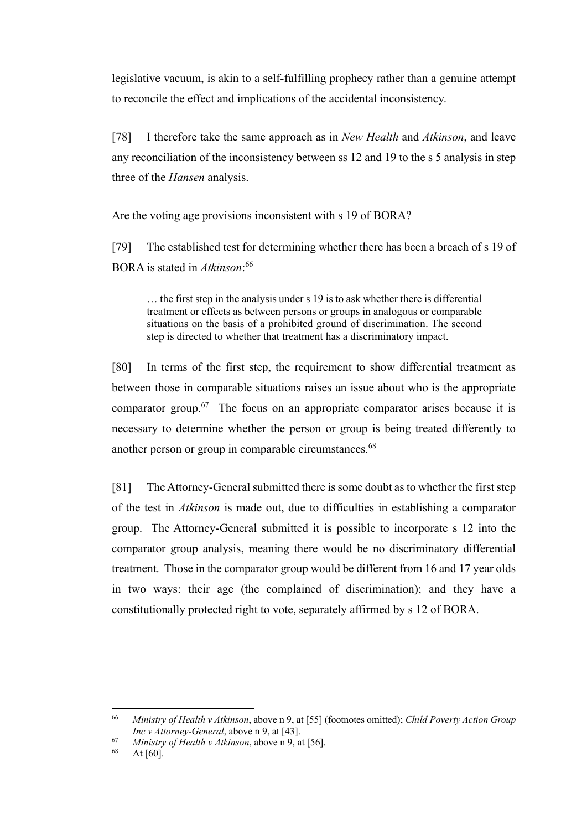legislative vacuum, is akin to a self-fulfilling prophecy rather than a genuine attempt to reconcile the effect and implications of the accidental inconsistency.

[78] I therefore take the same approach as in *New Health* and *Atkinson*, and leave any reconciliation of the inconsistency between ss 12 and 19 to the s 5 analysis in step three of the *Hansen* analysis.

Are the voting age provisions inconsistent with s 19 of BORA?

[79] The established test for determining whether there has been a breach of s 19 of BORA is stated in *Atkinson*: 66

… the first step in the analysis under s 19 is to ask whether there is differential treatment or effects as between persons or groups in analogous or comparable situations on the basis of a prohibited ground of discrimination. The second step is directed to whether that treatment has a discriminatory impact.

[80] In terms of the first step, the requirement to show differential treatment as between those in comparable situations raises an issue about who is the appropriate comparator group.<sup>67</sup> The focus on an appropriate comparator arises because it is necessary to determine whether the person or group is being treated differently to another person or group in comparable circumstances.<sup>68</sup>

[81] The Attorney-General submitted there is some doubt as to whether the first step of the test in *Atkinson* is made out, due to difficulties in establishing a comparator group. The Attorney-General submitted it is possible to incorporate s 12 into the comparator group analysis, meaning there would be no discriminatory differential treatment. Those in the comparator group would be different from 16 and 17 year olds in two ways: their age (the complained of discrimination); and they have a constitutionally protected right to vote, separately affirmed by s 12 of BORA.

<sup>66</sup> *Ministry of Health v Atkinson*, above [n 9,](#page-4-0) at [55] (footnotes omitted); *Child Poverty Action Group Inc v Attorney-General*, above n [9,](#page-4-0) at [43].

<sup>67</sup> *Ministry of Health v Atkinson*, above [n 9,](#page-4-0) at [56].

 $68$  At [60].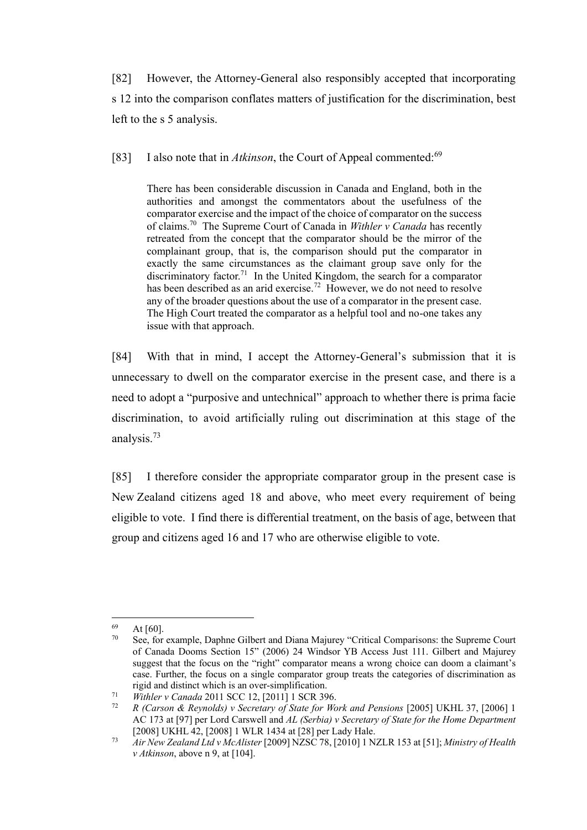[82] However, the Attorney-General also responsibly accepted that incorporating s 12 into the comparison conflates matters of justification for the discrimination, best left to the s 5 analysis.

[83] I also note that in *Atkinson*, the Court of Appeal commented:<sup>69</sup>

There has been considerable discussion in Canada and England, both in the authorities and amongst the commentators about the usefulness of the comparator exercise and the impact of the choice of comparator on the success of claims.<sup>70</sup> The Supreme Court of Canada in *Withler v Canada* has recently retreated from the concept that the comparator should be the mirror of the complainant group, that is, the comparison should put the comparator in exactly the same circumstances as the claimant group save only for the discriminatory factor.<sup>71</sup> In the United Kingdom, the search for a comparator has been described as an arid exercise.<sup>72</sup> However, we do not need to resolve any of the broader questions about the use of a comparator in the present case. The High Court treated the comparator as a helpful tool and no-one takes any issue with that approach.

[84] With that in mind, I accept the Attorney-General's submission that it is unnecessary to dwell on the comparator exercise in the present case, and there is a need to adopt a "purposive and untechnical" approach to whether there is prima facie discrimination, to avoid artificially ruling out discrimination at this stage of the analysis.<sup>73</sup>

[85] I therefore consider the appropriate comparator group in the present case is New Zealand citizens aged 18 and above, who meet every requirement of being eligible to vote. I find there is differential treatment, on the basis of age, between that group and citizens aged 16 and 17 who are otherwise eligible to vote.

 $^{69}$  At [60].

<sup>70</sup> See, for example, Daphne Gilbert and Diana Majurey "Critical Comparisons: the Supreme Court of Canada Dooms Section 15" (2006) 24 Windsor YB Access Just 111. Gilbert and Majurey suggest that the focus on the "right" comparator means a wrong choice can doom a claimant's case. Further, the focus on a single comparator group treats the categories of discrimination as rigid and distinct which is an over-simplification.

<sup>&</sup>lt;sup>71</sup> *Withler v Canada* 2011 SCC 12, [2011] 1 SCR 396.

<sup>72</sup> *R (Carson & Reynolds) v Secretary of State for Work and Pensions* [2005] UKHL 37, [2006] 1 AC 173 at [97] per Lord Carswell and *AL (Serbia) v Secretary of State for the Home Department*  [2008] UKHL 42, [2008] 1 WLR 1434 at [28] per Lady Hale.

<sup>73</sup> *Air New Zealand Ltd v McAlister* [2009] NZSC 78, [2010] 1 NZLR 153 at [51]; *Ministry of Health v Atkinson*, above n [9,](#page-4-0) at [104].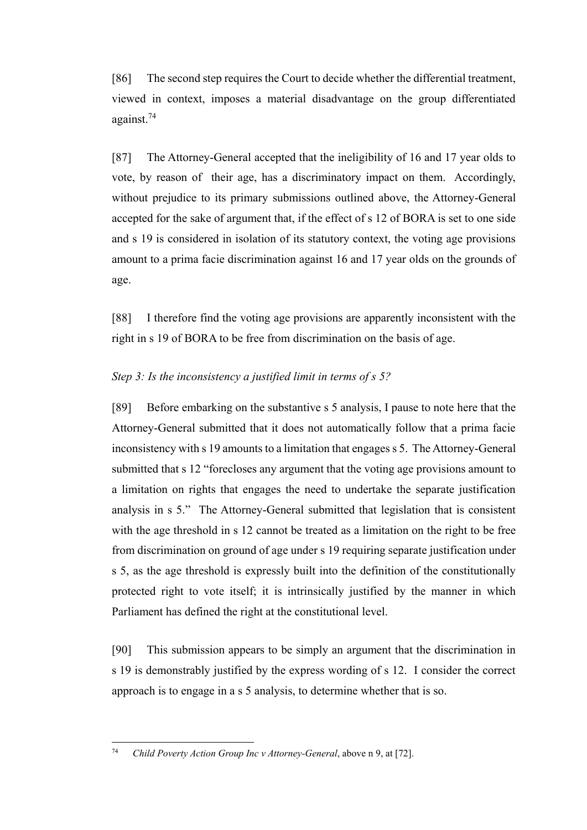[86] The second step requires the Court to decide whether the differential treatment, viewed in context, imposes a material disadvantage on the group differentiated against.<sup>74</sup>

[87] The Attorney-General accepted that the ineligibility of 16 and 17 year olds to vote, by reason of their age, has a discriminatory impact on them. Accordingly, without prejudice to its primary submissions outlined above, the Attorney-General accepted for the sake of argument that, if the effect of s 12 of BORA is set to one side and s 19 is considered in isolation of its statutory context, the voting age provisions amount to a prima facie discrimination against 16 and 17 year olds on the grounds of age.

[88] I therefore find the voting age provisions are apparently inconsistent with the right in s 19 of BORA to be free from discrimination on the basis of age.

### *Step 3: Is the inconsistency a justified limit in terms of s 5?*

[89] Before embarking on the substantive s 5 analysis, I pause to note here that the Attorney-General submitted that it does not automatically follow that a prima facie inconsistency with s 19 amounts to a limitation that engages s 5. The Attorney-General submitted that s 12 "forecloses any argument that the voting age provisions amount to a limitation on rights that engages the need to undertake the separate justification analysis in s 5." The Attorney-General submitted that legislation that is consistent with the age threshold in s 12 cannot be treated as a limitation on the right to be free from discrimination on ground of age under s 19 requiring separate justification under s 5, as the age threshold is expressly built into the definition of the constitutionally protected right to vote itself; it is intrinsically justified by the manner in which Parliament has defined the right at the constitutional level.

[90] This submission appears to be simply an argument that the discrimination in s 19 is demonstrably justified by the express wording of s 12. I consider the correct approach is to engage in a s 5 analysis, to determine whether that is so.

<sup>74</sup> *Child Poverty Action Group Inc v Attorney-General*, above n [9,](#page-4-0) at [72].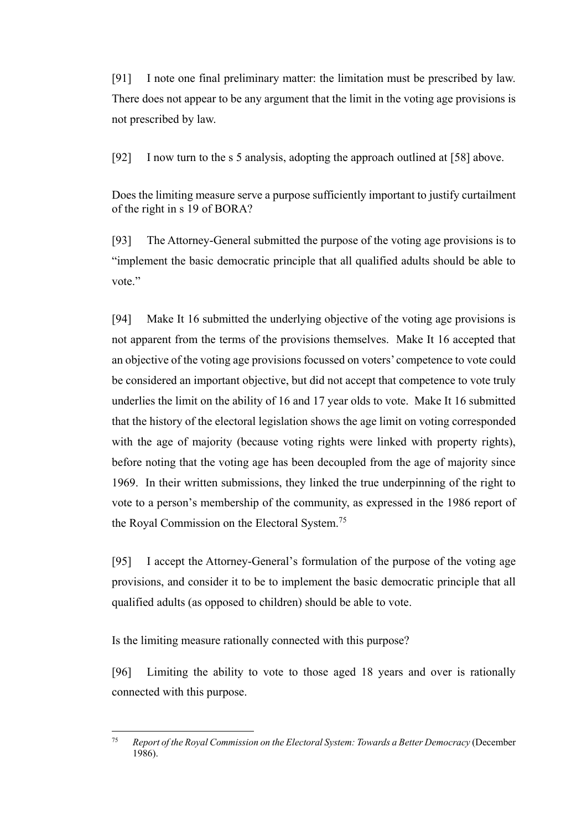[91] I note one final preliminary matter: the limitation must be prescribed by law. There does not appear to be any argument that the limit in the voting age provisions is not prescribed by law.

[92] I now turn to the s 5 analysis, adopting the approach outlined at [\[58\]](#page-15-0) above.

Does the limiting measure serve a purpose sufficiently important to justify curtailment of the right in s 19 of BORA?

<span id="page-26-0"></span>[93] The Attorney-General submitted the purpose of the voting age provisions is to "implement the basic democratic principle that all qualified adults should be able to vote."

[94] Make It 16 submitted the underlying objective of the voting age provisions is not apparent from the terms of the provisions themselves. Make It 16 accepted that an objective of the voting age provisions focussed on voters' competence to vote could be considered an important objective, but did not accept that competence to vote truly underlies the limit on the ability of 16 and 17 year olds to vote. Make It 16 submitted that the history of the electoral legislation shows the age limit on voting corresponded with the age of majority (because voting rights were linked with property rights), before noting that the voting age has been decoupled from the age of majority since 1969. In their written submissions, they linked the true underpinning of the right to vote to a person's membership of the community, as expressed in the 1986 report of the Royal Commission on the Electoral System.<sup>75</sup>

<span id="page-26-1"></span>[95] I accept the Attorney-General's formulation of the purpose of the voting age provisions, and consider it to be to implement the basic democratic principle that all qualified adults (as opposed to children) should be able to vote.

Is the limiting measure rationally connected with this purpose?

[96] Limiting the ability to vote to those aged 18 years and over is rationally connected with this purpose.

 $75$ <sup>75</sup> *Report of the Royal Commission on the Electoral System: Towards a Better Democracy* (December 1986).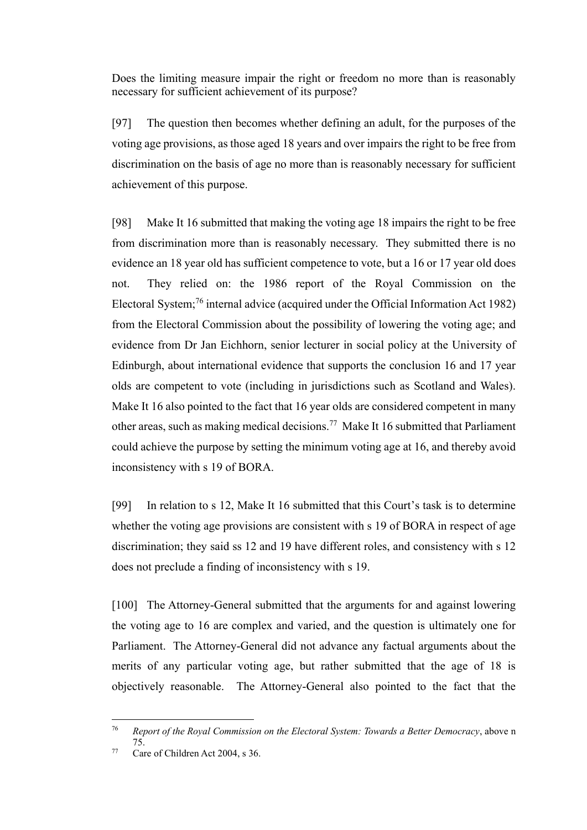Does the limiting measure impair the right or freedom no more than is reasonably necessary for sufficient achievement of its purpose?

[97] The question then becomes whether defining an adult, for the purposes of the voting age provisions, as those aged 18 years and over impairs the right to be free from discrimination on the basis of age no more than is reasonably necessary for sufficient achievement of this purpose.

[98] Make It 16 submitted that making the voting age 18 impairs the right to be free from discrimination more than is reasonably necessary. They submitted there is no evidence an 18 year old has sufficient competence to vote, but a 16 or 17 year old does not. They relied on: the 1986 report of the Royal Commission on the Electoral System;<sup>76</sup> internal advice (acquired under the Official Information Act 1982) from the Electoral Commission about the possibility of lowering the voting age; and evidence from Dr Jan Eichhorn, senior lecturer in social policy at the University of Edinburgh, about international evidence that supports the conclusion 16 and 17 year olds are competent to vote (including in jurisdictions such as Scotland and Wales). Make It 16 also pointed to the fact that 16 year olds are considered competent in many other areas, such as making medical decisions.<sup>77</sup> Make It 16 submitted that Parliament could achieve the purpose by setting the minimum voting age at 16, and thereby avoid inconsistency with s 19 of BORA.

[99] In relation to s 12, Make It 16 submitted that this Court's task is to determine whether the voting age provisions are consistent with s 19 of BORA in respect of age discrimination; they said ss 12 and 19 have different roles, and consistency with s 12 does not preclude a finding of inconsistency with s 19.

[100] The Attorney-General submitted that the arguments for and against lowering the voting age to 16 are complex and varied, and the question is ultimately one for Parliament. The Attorney-General did not advance any factual arguments about the merits of any particular voting age, but rather submitted that the age of 18 is objectively reasonable. The Attorney-General also pointed to the fact that the

<sup>76</sup> *Report of the Royal Commission on the Electoral System: Towards a Better Democracy*, above n [75.](#page-26-1)

<sup>77</sup> Care of Children Act 2004, s 36.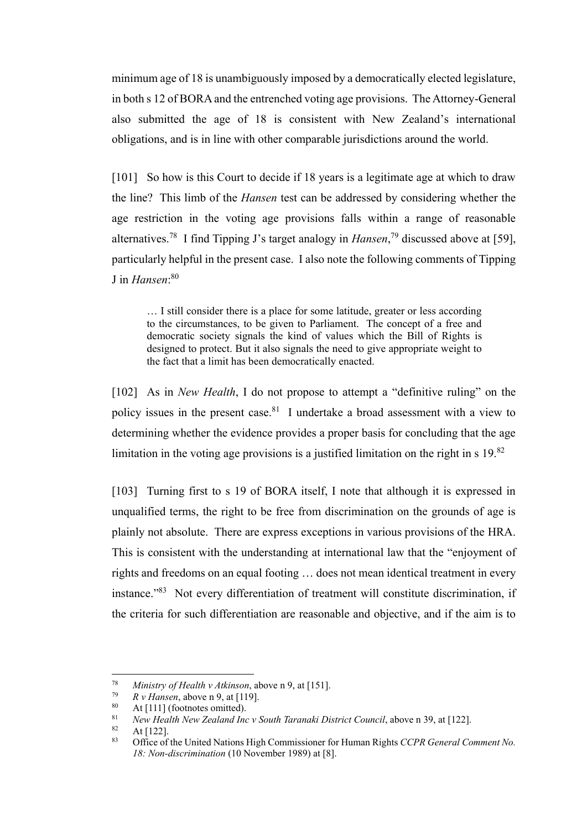minimum age of 18 is unambiguously imposed by a democratically elected legislature, in both s 12 of BORA and the entrenched voting age provisions. The Attorney-General also submitted the age of 18 is consistent with New Zealand's international obligations, and is in line with other comparable jurisdictions around the world.

[101] So how is this Court to decide if 18 years is a legitimate age at which to draw the line? This limb of the *Hansen* test can be addressed by considering whether the age restriction in the voting age provisions falls within a range of reasonable alternatives.<sup>78</sup> I find Tipping J's target analogy in *Hansen*, <sup>79</sup> discussed above at [\[59\],](#page-15-1) particularly helpful in the present case. I also note the following comments of Tipping J in *Hansen*: 80

… I still consider there is a place for some latitude, greater or less according to the circumstances, to be given to Parliament. The concept of a free and democratic society signals the kind of values which the Bill of Rights is designed to protect. But it also signals the need to give appropriate weight to the fact that a limit has been democratically enacted.

[102] As in *New Health*, I do not propose to attempt a "definitive ruling" on the policy issues in the present case.<sup>81</sup> I undertake a broad assessment with a view to determining whether the evidence provides a proper basis for concluding that the age limitation in the voting age provisions is a justified limitation on the right in s  $19^{82}$ 

[103] Turning first to s 19 of BORA itself, I note that although it is expressed in unqualified terms, the right to be free from discrimination on the grounds of age is plainly not absolute. There are express exceptions in various provisions of the HRA. This is consistent with the understanding at international law that the "enjoyment of rights and freedoms on an equal footing … does not mean identical treatment in every instance."<sup>83</sup> Not every differentiation of treatment will constitute discrimination, if the criteria for such differentiation are reasonable and objective, and if the aim is to

<sup>&</sup>lt;sup>78</sup> *Ministry of Health v Atkinson*, above [n 9,](#page-4-0) at [151].<br> $\frac{79}{7}$  *P*  $\frac{1}{2}$  *P*  $\frac{1}{2}$  *P*  $\frac{1}{2}$  *P*  $\frac{1}{2}$  *P*  $\frac{1}{2}$  *P*  $\frac{1}{2}$  *P*  $\frac{1}{2}$  *P*  $\frac{1}{2}$  *P*  $\frac{1}{2}$  *P*

<sup>&</sup>lt;sup>79</sup> *R v Hansen*, above [n 9,](#page-4-0) at [119].<br><sup>80</sup> At [111] (footnotes omitted)

 $80$  At [111] (footnotes omitted).<br> $81$  New Health New Zealand Inc.

<sup>81</sup> *New Health New Zealand Inc v South Taranaki District Council*, above [n 39,](#page-16-2) at [122].

 $\frac{82}{83}$  At [122].

<sup>83</sup> Office of the United Nations High Commissioner for Human Rights *CCPR General Comment No. 18: Non-discrimination* (10 November 1989) at [8].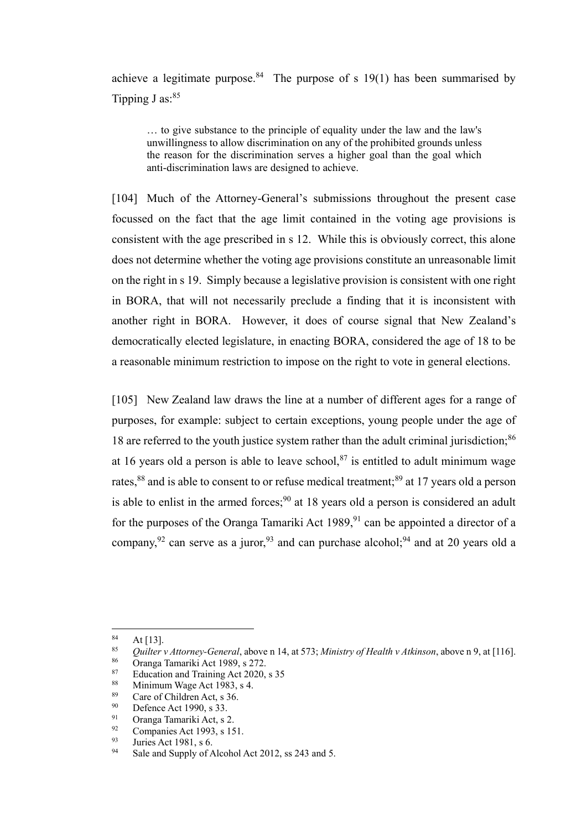achieve a legitimate purpose.<sup>84</sup> The purpose of s  $19(1)$  has been summarised by Tipping J as:<sup>85</sup>

… to give substance to the principle of equality under the law and the law's unwillingness to allow discrimination on any of the prohibited grounds unless the reason for the discrimination serves a higher goal than the goal which anti-discrimination laws are designed to achieve.

[104] Much of the Attorney-General's submissions throughout the present case focussed on the fact that the age limit contained in the voting age provisions is consistent with the age prescribed in s 12. While this is obviously correct, this alone does not determine whether the voting age provisions constitute an unreasonable limit on the right in s 19. Simply because a legislative provision is consistent with one right in BORA, that will not necessarily preclude a finding that it is inconsistent with another right in BORA. However, it does of course signal that New Zealand's democratically elected legislature, in enacting BORA, considered the age of 18 to be a reasonable minimum restriction to impose on the right to vote in general elections.

<span id="page-29-0"></span>[105] New Zealand law draws the line at a number of different ages for a range of purposes, for example: subject to certain exceptions, young people under the age of 18 are referred to the youth justice system rather than the adult criminal jurisdiction;<sup>86</sup> at 16 years old a person is able to leave school, $87$  is entitled to adult minimum wage rates,<sup>88</sup> and is able to consent to or refuse medical treatment;<sup>89</sup> at 17 years old a person is able to enlist in the armed forces;<sup>90</sup> at 18 years old a person is considered an adult for the purposes of the Oranga Tamariki Act  $1989$ ,  $91$  can be appointed a director of a company,  $92$  can serve as a juror,  $93$  and can purchase alcohol;  $94$  and at 20 years old a

 $84$  At [13].

<sup>85</sup> *Quilter v Attorney-General*, above n [14,](#page-8-1) at 573; *Ministry of Health v Atkinson*, above [n 9,](#page-4-0) at [116].

<sup>&</sup>lt;sup>86</sup> Oranga Tamariki Act 1989, s 272.<br><sup>87</sup> Education and Training Act 2020.

<sup>&</sup>lt;sup>87</sup> Education and Training Act 2020, s 35<br><sup>88</sup> Minimum Wage Act 1083, s 4

<sup>&</sup>lt;sup>88</sup> Minimum Wage Act 1983, s 4.<br><sup>89</sup> Care of Children Act s 36

<sup>&</sup>lt;sup>89</sup> Care of Children Act, s 36.<br><sup>90</sup> Defence Act 1990, s 33.

<sup>&</sup>lt;sup>90</sup> Defence Act 1990, s 33.<br><sup>91</sup> Orange Tameriki Act s 2

<sup>&</sup>lt;sup>91</sup> Oranga Tamariki Act, s 2.<br>
Companies Act 1003 s 15

<sup>&</sup>lt;sup>92</sup> Companies Act 1993, s 151.<br><sup>93</sup> Iuries Act 1981, s 6

<sup>&</sup>lt;sup>93</sup> Juries Act 1981, s 6.<br><sup>94</sup> Sole and Supply of A

Sale and Supply of Alcohol Act 2012, ss 243 and 5.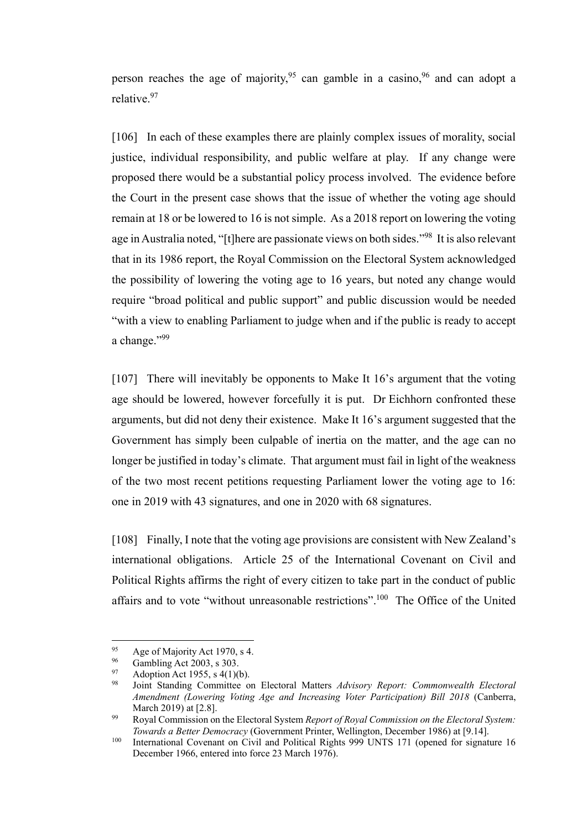person reaches the age of majority,<sup>95</sup> can gamble in a casino,<sup>96</sup> and can adopt a relative.<sup>97</sup>

[106] In each of these examples there are plainly complex issues of morality, social justice, individual responsibility, and public welfare at play. If any change were proposed there would be a substantial policy process involved. The evidence before the Court in the present case shows that the issue of whether the voting age should remain at 18 or be lowered to 16 is not simple. As a 2018 report on lowering the voting age in Australia noted, "[t]here are passionate views on both sides."<sup>98</sup> It is also relevant that in its 1986 report, the Royal Commission on the Electoral System acknowledged the possibility of lowering the voting age to 16 years, but noted any change would require "broad political and public support" and public discussion would be needed "with a view to enabling Parliament to judge when and if the public is ready to accept a change."<sup>99</sup>

[107] There will inevitably be opponents to Make It 16's argument that the voting age should be lowered, however forcefully it is put. Dr Eichhorn confronted these arguments, but did not deny their existence. Make It 16's argument suggested that the Government has simply been culpable of inertia on the matter, and the age can no longer be justified in today's climate. That argument must fail in light of the weakness of the two most recent petitions requesting Parliament lower the voting age to 16: one in 2019 with 43 signatures, and one in 2020 with 68 signatures.

[108] Finally, I note that the voting age provisions are consistent with New Zealand's international obligations. Article 25 of the International Covenant on Civil and Political Rights affirms the right of every citizen to take part in the conduct of public affairs and to vote "without unreasonable restrictions".<sup>100</sup> The Office of the United

<sup>&</sup>lt;sup>95</sup> Age of Majority Act 1970, s 4.<br> **96** Gambling Act 2003 s 303

<sup>&</sup>lt;sup>96</sup> Gambling Act 2003, s 303.<br> $\frac{97}{2}$  Adoption Act 1955, s 4(1)(1)

<sup>&</sup>lt;sup>97</sup> Adoption Act 1955, s  $4(1)(b)$ .<br><sup>98</sup> Ioint Standing Committee 2

<sup>98</sup> Joint Standing Committee on Electoral Matters *Advisory Report: Commonwealth Electoral Amendment (Lowering Voting Age and Increasing Voter Participation) Bill 2018* (Canberra, March 2019) at [2.8].

<sup>99</sup> Royal Commission on the Electoral System *Report of Royal Commission on the Electoral System: Towards a Better Democracy* (Government Printer, Wellington, December 1986) at [9.14].

<sup>&</sup>lt;sup>100</sup> International Covenant on Civil and Political Rights 999 UNTS 171 (opened for signature 16 December 1966, entered into force 23 March 1976).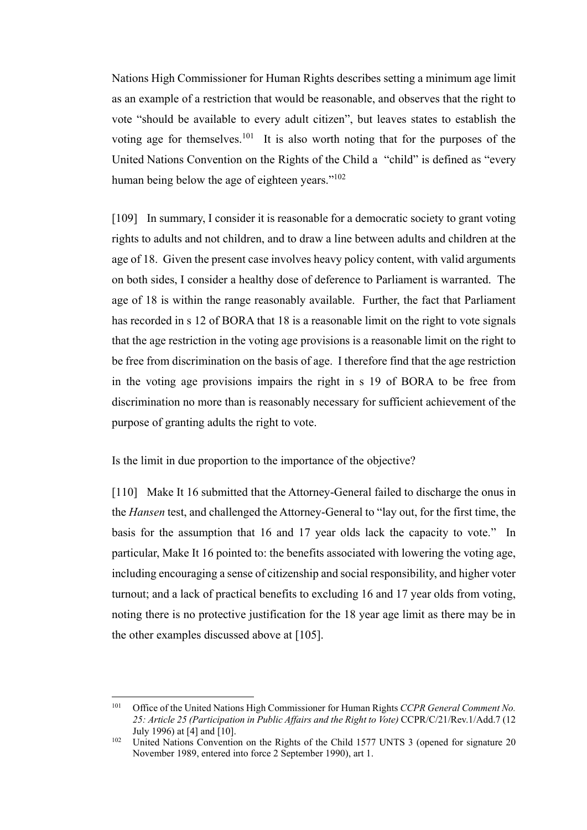Nations High Commissioner for Human Rights describes setting a minimum age limit as an example of a restriction that would be reasonable, and observes that the right to vote "should be available to every adult citizen", but leaves states to establish the voting age for themselves.<sup>101</sup> It is also worth noting that for the purposes of the United Nations Convention on the Rights of the Child a "child" is defined as "every human being below the age of eighteen years."<sup>102</sup>

[109] In summary, I consider it is reasonable for a democratic society to grant voting rights to adults and not children, and to draw a line between adults and children at the age of 18. Given the present case involves heavy policy content, with valid arguments on both sides, I consider a healthy dose of deference to Parliament is warranted. The age of 18 is within the range reasonably available. Further, the fact that Parliament has recorded in s 12 of BORA that 18 is a reasonable limit on the right to vote signals that the age restriction in the voting age provisions is a reasonable limit on the right to be free from discrimination on the basis of age. I therefore find that the age restriction in the voting age provisions impairs the right in s 19 of BORA to be free from discrimination no more than is reasonably necessary for sufficient achievement of the purpose of granting adults the right to vote.

Is the limit in due proportion to the importance of the objective?

[110] Make It 16 submitted that the Attorney-General failed to discharge the onus in the *Hansen* test, and challenged the Attorney-General to "lay out, for the first time, the basis for the assumption that 16 and 17 year olds lack the capacity to vote." In particular, Make It 16 pointed to: the benefits associated with lowering the voting age, including encouraging a sense of citizenship and social responsibility, and higher voter turnout; and a lack of practical benefits to excluding 16 and 17 year olds from voting, noting there is no protective justification for the 18 year age limit as there may be in the other examples discussed above at [\[105\].](#page-29-0)

 $101\,$ <sup>101</sup> Office of the United Nations High Commissioner for Human Rights *CCPR General Comment No. 25: Article 25 (Participation in Public Affairs and the Right to Vote)* CCPR/C/21/Rev.1/Add.7 (12 July 1996) at [4] and [10].

<sup>&</sup>lt;sup>102</sup> United Nations Convention on the Rights of the Child 1577 UNTS 3 (opened for signature 20 November 1989, entered into force 2 September 1990), art 1.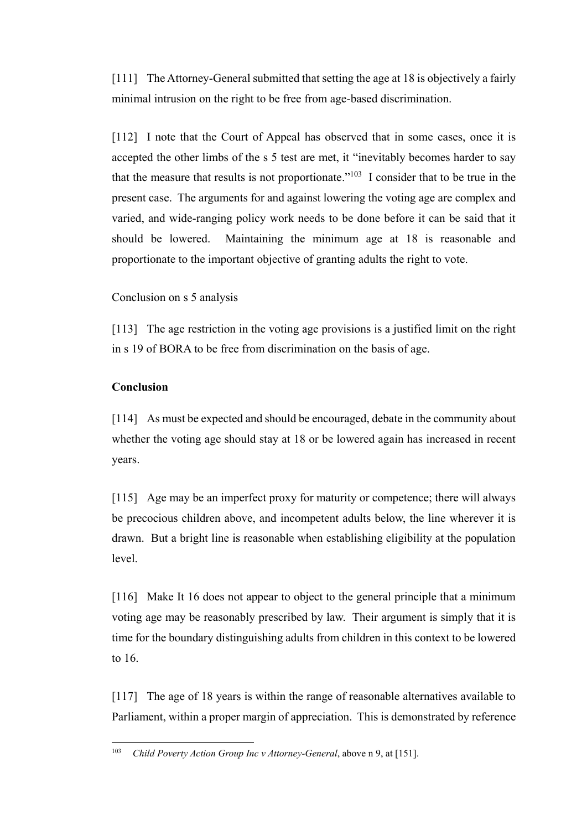[111] The Attorney-General submitted that setting the age at 18 is objectively a fairly minimal intrusion on the right to be free from age-based discrimination.

<span id="page-32-0"></span>[112] I note that the Court of Appeal has observed that in some cases, once it is accepted the other limbs of the s 5 test are met, it "inevitably becomes harder to say that the measure that results is not proportionate."<sup>103</sup> I consider that to be true in the present case. The arguments for and against lowering the voting age are complex and varied, and wide-ranging policy work needs to be done before it can be said that it should be lowered. Maintaining the minimum age at 18 is reasonable and proportionate to the important objective of granting adults the right to vote.

### Conclusion on s 5 analysis

[113] The age restriction in the voting age provisions is a justified limit on the right in s 19 of BORA to be free from discrimination on the basis of age.

## **Conclusion**

[114] As must be expected and should be encouraged, debate in the community about whether the voting age should stay at 18 or be lowered again has increased in recent years.

[115] Age may be an imperfect proxy for maturity or competence; there will always be precocious children above, and incompetent adults below, the line wherever it is drawn. But a bright line is reasonable when establishing eligibility at the population level.

[116] Make It 16 does not appear to object to the general principle that a minimum voting age may be reasonably prescribed by law. Their argument is simply that it is time for the boundary distinguishing adults from children in this context to be lowered to 16.

[117] The age of 18 years is within the range of reasonable alternatives available to Parliament, within a proper margin of appreciation. This is demonstrated by reference

 $\overline{a}$ <sup>103</sup> *Child Poverty Action Group Inc v Attorney-General*, above n [9,](#page-4-0) at [151].